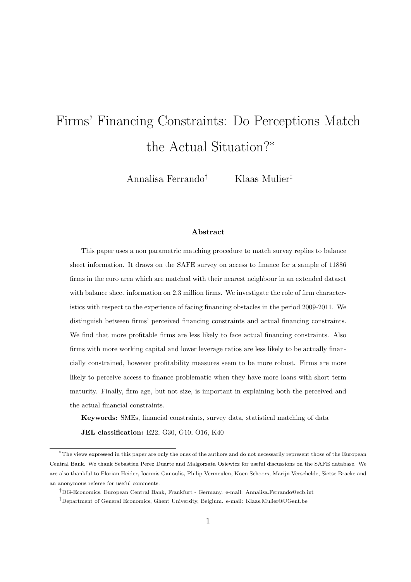# Firms' Financing Constraints: Do Perceptions Match the Actual Situation?<sup>∗</sup>

Annalisa Ferrando† Klaas Mulier‡

#### Abstract

This paper uses a non parametric matching procedure to match survey replies to balance sheet information. It draws on the SAFE survey on access to finance for a sample of 11886 firms in the euro area which are matched with their nearest neighbour in an extended dataset with balance sheet information on 2.3 million firms. We investigate the role of firm characteristics with respect to the experience of facing financing obstacles in the period 2009-2011. We distinguish between firms' perceived financing constraints and actual financing constraints. We find that more profitable firms are less likely to face actual financing constraints. Also firms with more working capital and lower leverage ratios are less likely to be actually financially constrained, however profitability measures seem to be more robust. Firms are more likely to perceive access to finance problematic when they have more loans with short term maturity. Finally, firm age, but not size, is important in explaining both the perceived and the actual financial constraints.

Keywords: SMEs, financial constraints, survey data, statistical matching of data

JEL classification: E22, G30, G10, O16, K40

<sup>∗</sup>The views expressed in this paper are only the ones of the authors and do not necessarily represent those of the European Central Bank. We thank Sebastien Perez Duarte and Malgorzata Osiewicz for useful discussions on the SAFE database. We are also thankful to Florian Heider, Ioannis Ganoulis, Philip Vermeulen, Koen Schoors, Marijn Verschelde, Sietse Bracke and an anonymous referee for useful comments.

<sup>†</sup>DG-Economics, European Central Bank, Frankfurt - Germany. e-mail: Annalisa.Ferrando@ecb.int

<sup>‡</sup>Department of General Economics, Ghent University, Belgium. e-mail: Klaas.Mulier@UGent.be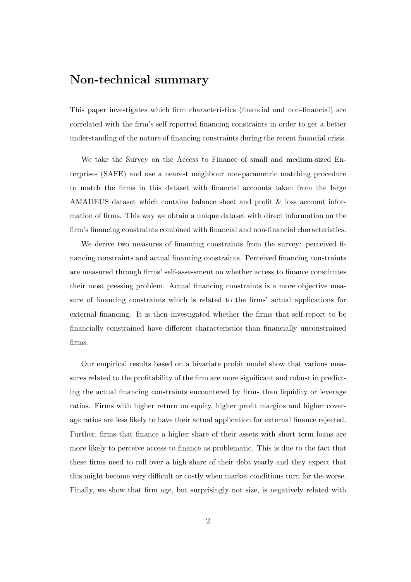### Non-technical summary

This paper investigates which firm characteristics (financial and non-financial) are correlated with the firm's self reported financing constraints in order to get a better understanding of the nature of financing constraints during the recent financial crisis.

We take the Survey on the Access to Finance of small and medium-sized Enterprises (SAFE) and use a nearest neighbour non-parametric matching procedure to match the firms in this dataset with financial accounts taken from the large AMADEUS dataset which contains balance sheet and profit & loss account information of firms. This way we obtain a unique dataset with direct information on the firm's financing constraints combined with financial and non-financial characteristics.

We derive two measures of financing constraints from the survey: perceived financing constraints and actual financing constraints. Perceived financing constraints are measured through firms' self-assessment on whether access to finance constitutes their most pressing problem. Actual financing constraints is a more objective measure of financing constraints which is related to the firms' actual applications for external financing. It is then investigated whether the firms that self-report to be financially constrained have different characteristics than financially unconstrained firms.

Our empirical results based on a bivariate probit model show that various measures related to the profitability of the firm are more significant and robust in predicting the actual financing constraints encountered by firms than liquidity or leverage ratios. Firms with higher return on equity, higher profit margins and higher coverage ratios are less likely to have their actual application for external finance rejected. Further, firms that finance a higher share of their assets with short term loans are more likely to perceive access to finance as problematic. This is due to the fact that these firms need to roll over a high share of their debt yearly and they expect that this might become very difficult or costly when market conditions turn for the worse. Finally, we show that firm age, but surprisingly not size, is negatively related with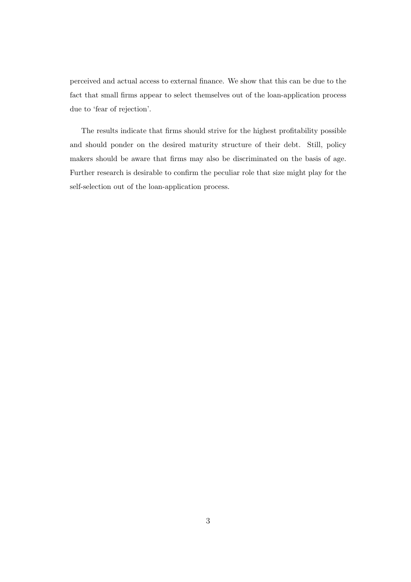perceived and actual access to external finance. We show that this can be due to the fact that small firms appear to select themselves out of the loan-application process due to 'fear of rejection'.

The results indicate that firms should strive for the highest profitability possible and should ponder on the desired maturity structure of their debt. Still, policy makers should be aware that firms may also be discriminated on the basis of age. Further research is desirable to confirm the peculiar role that size might play for the self-selection out of the loan-application process.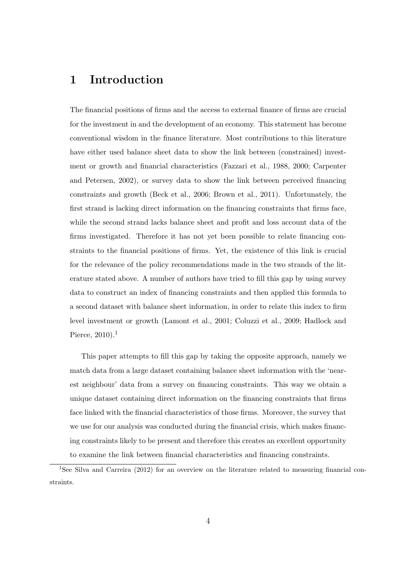### 1 Introduction

The financial positions of firms and the access to external finance of firms are crucial for the investment in and the development of an economy. This statement has become conventional wisdom in the finance literature. Most contributions to this literature have either used balance sheet data to show the link between (constrained) investment or growth and financial characteristics (Fazzari et al., 1988, 2000; Carpenter and Petersen, 2002), or survey data to show the link between perceived financing constraints and growth (Beck et al., 2006; Brown et al., 2011). Unfortunately, the first strand is lacking direct information on the financing constraints that firms face, while the second strand lacks balance sheet and profit and loss account data of the firms investigated. Therefore it has not yet been possible to relate financing constraints to the financial positions of firms. Yet, the existence of this link is crucial for the relevance of the policy recommendations made in the two strands of the literature stated above. A number of authors have tried to fill this gap by using survey data to construct an index of financing constraints and then applied this formula to a second dataset with balance sheet information, in order to relate this index to firm level investment or growth (Lamont et al., 2001; Coluzzi et al., 2009; Hadlock and Pierce,  $2010$ ).<sup>1</sup>

This paper attempts to fill this gap by taking the opposite approach, namely we match data from a large dataset containing balance sheet information with the 'nearest neighbour' data from a survey on financing constraints. This way we obtain a unique dataset containing direct information on the financing constraints that firms face linked with the financial characteristics of those firms. Moreover, the survey that we use for our analysis was conducted during the financial crisis, which makes financing constraints likely to be present and therefore this creates an excellent opportunity to examine the link between financial characteristics and financing constraints.

<sup>1</sup>See Silva and Carreira (2012) for an overview on the literature related to measuring financial constraints.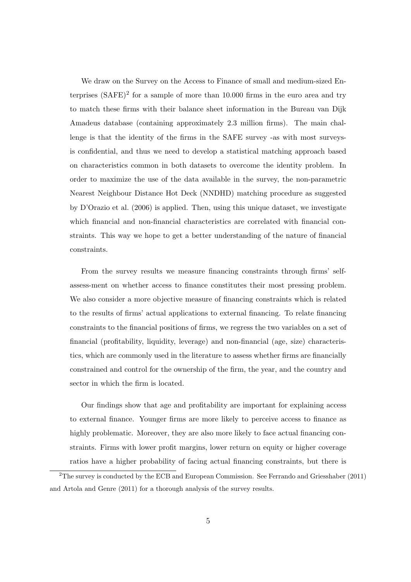We draw on the Survey on the Access to Finance of small and medium-sized Enterprises  $(SAFE)^2$  for a sample of more than 10.000 firms in the euro area and try to match these firms with their balance sheet information in the Bureau van Dijk Amadeus database (containing approximately 2.3 million firms). The main challenge is that the identity of the firms in the SAFE survey -as with most surveysis confidential, and thus we need to develop a statistical matching approach based on characteristics common in both datasets to overcome the identity problem. In order to maximize the use of the data available in the survey, the non-parametric Nearest Neighbour Distance Hot Deck (NNDHD) matching procedure as suggested by D'Orazio et al. (2006) is applied. Then, using this unique dataset, we investigate which financial and non-financial characteristics are correlated with financial constraints. This way we hope to get a better understanding of the nature of financial constraints.

From the survey results we measure financing constraints through firms' selfassess-ment on whether access to finance constitutes their most pressing problem. We also consider a more objective measure of financing constraints which is related to the results of firms' actual applications to external financing. To relate financing constraints to the financial positions of firms, we regress the two variables on a set of financial (profitability, liquidity, leverage) and non-financial (age, size) characteristics, which are commonly used in the literature to assess whether firms are financially constrained and control for the ownership of the firm, the year, and the country and sector in which the firm is located.

Our findings show that age and profitability are important for explaining access to external finance. Younger firms are more likely to perceive access to finance as highly problematic. Moreover, they are also more likely to face actual financing constraints. Firms with lower profit margins, lower return on equity or higher coverage ratios have a higher probability of facing actual financing constraints, but there is

<sup>2</sup>The survey is conducted by the ECB and European Commission. See Ferrando and Griesshaber (2011) and Artola and Genre (2011) for a thorough analysis of the survey results.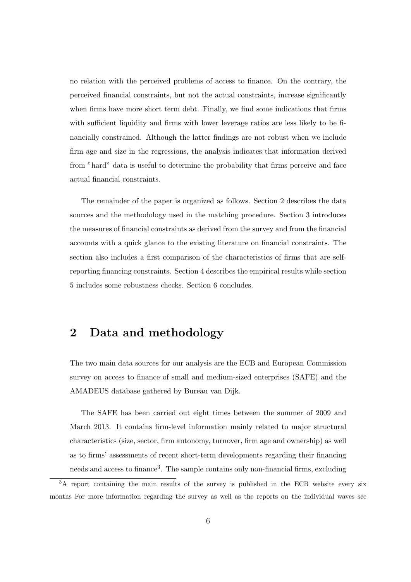no relation with the perceived problems of access to finance. On the contrary, the perceived financial constraints, but not the actual constraints, increase significantly when firms have more short term debt. Finally, we find some indications that firms with sufficient liquidity and firms with lower leverage ratios are less likely to be financially constrained. Although the latter findings are not robust when we include firm age and size in the regressions, the analysis indicates that information derived from "hard" data is useful to determine the probability that firms perceive and face actual financial constraints.

The remainder of the paper is organized as follows. Section 2 describes the data sources and the methodology used in the matching procedure. Section 3 introduces the measures of financial constraints as derived from the survey and from the financial accounts with a quick glance to the existing literature on financial constraints. The section also includes a first comparison of the characteristics of firms that are selfreporting financing constraints. Section 4 describes the empirical results while section 5 includes some robustness checks. Section 6 concludes.

### 2 Data and methodology

The two main data sources for our analysis are the ECB and European Commission survey on access to finance of small and medium-sized enterprises (SAFE) and the AMADEUS database gathered by Bureau van Dijk.

The SAFE has been carried out eight times between the summer of 2009 and March 2013. It contains firm-level information mainly related to major structural characteristics (size, sector, firm autonomy, turnover, firm age and ownership) as well as to firms' assessments of recent short-term developments regarding their financing needs and access to finance<sup>3</sup>. The sample contains only non-financial firms, excluding

<sup>&</sup>lt;sup>3</sup>A report containing the main results of the survey is published in the ECB website every six months For more information regarding the survey as well as the reports on the individual waves see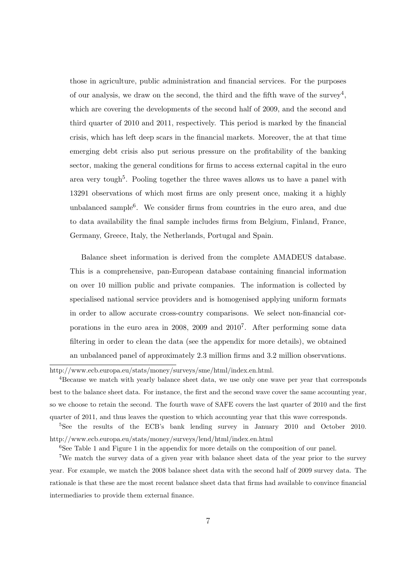those in agriculture, public administration and financial services. For the purposes of our analysis, we draw on the second, the third and the fifth wave of the survey<sup>4</sup>, which are covering the developments of the second half of 2009, and the second and third quarter of 2010 and 2011, respectively. This period is marked by the financial crisis, which has left deep scars in the financial markets. Moreover, the at that time emerging debt crisis also put serious pressure on the profitability of the banking sector, making the general conditions for firms to access external capital in the euro area very tough<sup>5</sup>. Pooling together the three waves allows us to have a panel with 13291 observations of which most firms are only present once, making it a highly unbalanced sample<sup>6</sup>. We consider firms from countries in the euro area, and due to data availability the final sample includes firms from Belgium, Finland, France, Germany, Greece, Italy, the Netherlands, Portugal and Spain.

Balance sheet information is derived from the complete AMADEUS database. This is a comprehensive, pan-European database containing financial information on over 10 million public and private companies. The information is collected by specialised national service providers and is homogenised applying uniform formats in order to allow accurate cross-country comparisons. We select non-financial corporations in the euro area in 2008, 2009 and 2010<sup>7</sup>. After performing some data filtering in order to clean the data (see the appendix for more details), we obtained an unbalanced panel of approximately 2.3 million firms and 3.2 million observations.

http://www.ecb.europa.eu/stats/money/surveys/sme/html/index.en.html.

<sup>4</sup>Because we match with yearly balance sheet data, we use only one wave per year that corresponds best to the balance sheet data. For instance, the first and the second wave cover the same accounting year, so we choose to retain the second. The fourth wave of SAFE covers the last quarter of 2010 and the first quarter of 2011, and thus leaves the question to which accounting year that this wave corresponds.

<sup>5</sup>See the results of the ECB's bank lending survey in January 2010 and October 2010. http://www.ecb.europa.eu/stats/money/surveys/lend/html/index.en.html

<sup>6</sup>See Table 1 and Figure 1 in the appendix for more details on the composition of our panel.

<sup>7</sup>We match the survey data of a given year with balance sheet data of the year prior to the survey year. For example, we match the 2008 balance sheet data with the second half of 2009 survey data. The rationale is that these are the most recent balance sheet data that firms had available to convince financial intermediaries to provide them external finance.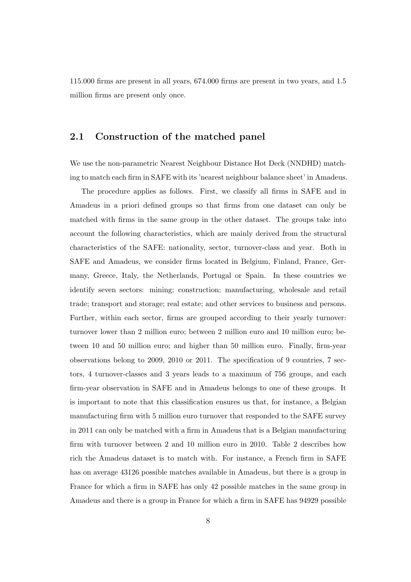115.000 firms are present in all years, 674.000 firms are present in two years, and 1.5 million firms are present only once.

#### 2.1 Construction of the matched panel

We use the non-parametric Nearest Neighbour Distance Hot Deck (NNDHD) matching to match each firm in SAFE with its 'nearest neighbour balance sheet' in Amadeus.

The procedure applies as follows. First, we classify all firms in SAFE and in Amadeus in a priori defined groups so that firms from one dataset can only be matched with firms in the same group in the other dataset. The groups take into account the following characteristics, which are mainly derived from the structural characteristics of the SAFE: nationality, sector, turnover-class and year. Both in SAFE and Amadeus, we consider firms located in Belgium, Finland, France, Germany, Greece, Italy, the Netherlands, Portugal or Spain. In these countries we identify seven sectors: mining; construction; manufacturing, wholesale and retail trade; transport and storage; real estate; and other services to business and persons. Further, within each sector, firms are grouped according to their yearly turnover: turnover lower than 2 million euro; between 2 million euro and 10 million euro; between 10 and 50 million euro; and higher than 50 million euro. Finally, firm-year observations belong to 2009, 2010 or 2011. The specification of 9 countries, 7 sectors, 4 turnover-classes and 3 years leads to a maximum of 756 groups, and each firm-year observation in SAFE and in Amadeus belongs to one of these groups. It is important to note that this classification ensures us that, for instance, a Belgian manufacturing firm with 5 million euro turnover that responded to the SAFE survey in 2011 can only be matched with a firm in Amadeus that is a Belgian manufacturing firm with turnover between 2 and 10 million euro in 2010. Table 2 describes how rich the Amadeus dataset is to match with. For instance, a French firm in SAFE has on average 43126 possible matches available in Amadeus, but there is a group in France for which a firm in SAFE has only 42 possible matches in the same group in Amadeus and there is a group in France for which a firm in SAFE has 94929 possible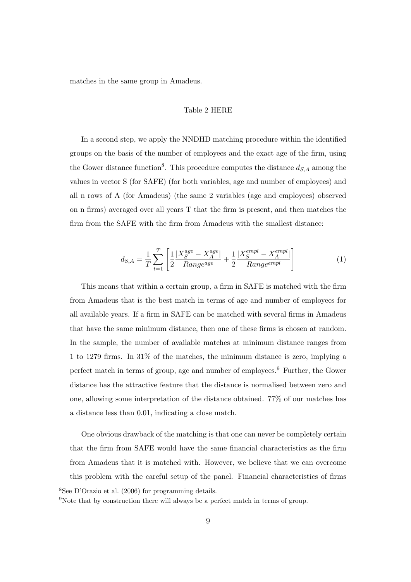matches in the same group in Amadeus.

#### Table 2 HERE

In a second step, we apply the NNDHD matching procedure within the identified groups on the basis of the number of employees and the exact age of the firm, using the Gower distance function<sup>8</sup>. This procedure computes the distance  $d_{S,A}$  among the values in vector S (for SAFE) (for both variables, age and number of employees) and all n rows of A (for Amadeus) (the same 2 variables (age and employees) observed on n firms) averaged over all years T that the firm is present, and then matches the firm from the SAFE with the firm from Amadeus with the smallest distance:

$$
d_{S,A} = \frac{1}{T} \sum_{t=1}^{T} \left[ \frac{1}{2} \frac{|X_S^{age} - X_A^{age}|}{Range^{age}} + \frac{1}{2} \frac{|X_S^{empl} - X_A^{empl}|}{Range^{empl}} \right] \tag{1}
$$

This means that within a certain group, a firm in SAFE is matched with the firm from Amadeus that is the best match in terms of age and number of employees for all available years. If a firm in SAFE can be matched with several firms in Amadeus that have the same minimum distance, then one of these firms is chosen at random. In the sample, the number of available matches at minimum distance ranges from 1 to 1279 firms. In 31% of the matches, the minimum distance is zero, implying a perfect match in terms of group, age and number of employees.<sup>9</sup> Further, the Gower distance has the attractive feature that the distance is normalised between zero and one, allowing some interpretation of the distance obtained. 77% of our matches has a distance less than 0.01, indicating a close match.

One obvious drawback of the matching is that one can never be completely certain that the firm from SAFE would have the same financial characteristics as the firm from Amadeus that it is matched with. However, we believe that we can overcome this problem with the careful setup of the panel. Financial characteristics of firms

<sup>8</sup>See D'Orazio et al. (2006) for programming details.

<sup>9</sup>Note that by construction there will always be a perfect match in terms of group.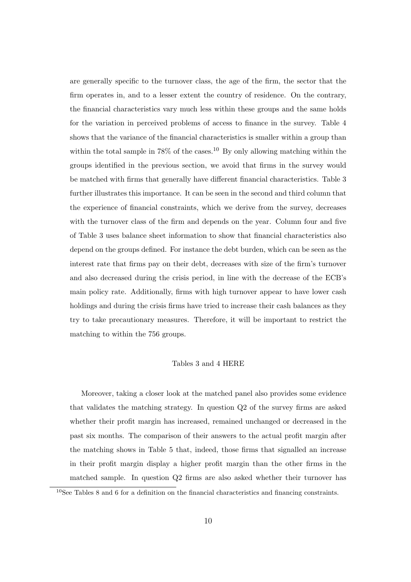are generally specific to the turnover class, the age of the firm, the sector that the firm operates in, and to a lesser extent the country of residence. On the contrary, the financial characteristics vary much less within these groups and the same holds for the variation in perceived problems of access to finance in the survey. Table 4 shows that the variance of the financial characteristics is smaller within a group than within the total sample in  $78\%$  of the cases.<sup>10</sup> By only allowing matching within the groups identified in the previous section, we avoid that firms in the survey would be matched with firms that generally have different financial characteristics. Table 3 further illustrates this importance. It can be seen in the second and third column that the experience of financial constraints, which we derive from the survey, decreases with the turnover class of the firm and depends on the year. Column four and five of Table 3 uses balance sheet information to show that financial characteristics also depend on the groups defined. For instance the debt burden, which can be seen as the interest rate that firms pay on their debt, decreases with size of the firm's turnover and also decreased during the crisis period, in line with the decrease of the ECB's main policy rate. Additionally, firms with high turnover appear to have lower cash holdings and during the crisis firms have tried to increase their cash balances as they try to take precautionary measures. Therefore, it will be important to restrict the matching to within the 756 groups.

#### Tables 3 and 4 HERE

Moreover, taking a closer look at the matched panel also provides some evidence that validates the matching strategy. In question Q2 of the survey firms are asked whether their profit margin has increased, remained unchanged or decreased in the past six months. The comparison of their answers to the actual profit margin after the matching shows in Table 5 that, indeed, those firms that signalled an increase in their profit margin display a higher profit margin than the other firms in the matched sample. In question Q2 firms are also asked whether their turnover has

<sup>10</sup>See Tables 8 and 6 for a definition on the financial characteristics and financing constraints.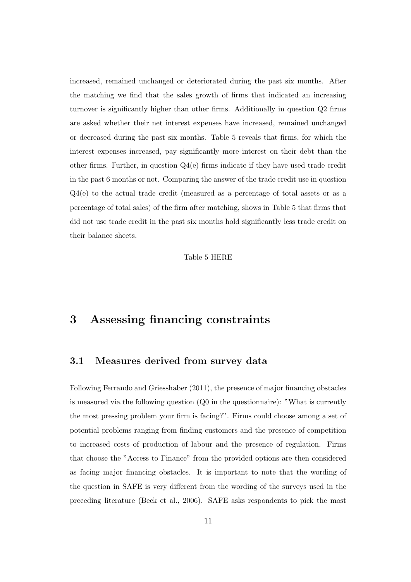increased, remained unchanged or deteriorated during the past six months. After the matching we find that the sales growth of firms that indicated an increasing turnover is significantly higher than other firms. Additionally in question Q2 firms are asked whether their net interest expenses have increased, remained unchanged or decreased during the past six months. Table 5 reveals that firms, for which the interest expenses increased, pay significantly more interest on their debt than the other firms. Further, in question  $Q_4(e)$  firms indicate if they have used trade credit in the past 6 months or not. Comparing the answer of the trade credit use in question Q4(e) to the actual trade credit (measured as a percentage of total assets or as a percentage of total sales) of the firm after matching, shows in Table 5 that firms that did not use trade credit in the past six months hold significantly less trade credit on their balance sheets.

#### Table 5 HERE

### 3 Assessing financing constraints

#### 3.1 Measures derived from survey data

Following Ferrando and Griesshaber (2011), the presence of major financing obstacles is measured via the following question (Q0 in the questionnaire): "What is currently the most pressing problem your firm is facing?". Firms could choose among a set of potential problems ranging from finding customers and the presence of competition to increased costs of production of labour and the presence of regulation. Firms that choose the "Access to Finance" from the provided options are then considered as facing major financing obstacles. It is important to note that the wording of the question in SAFE is very different from the wording of the surveys used in the preceding literature (Beck et al., 2006). SAFE asks respondents to pick the most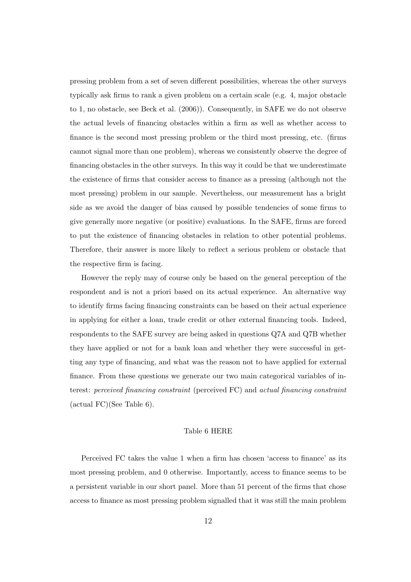pressing problem from a set of seven different possibilities, whereas the other surveys typically ask firms to rank a given problem on a certain scale (e.g. 4, major obstacle to 1, no obstacle, see Beck et al. (2006)). Consequently, in SAFE we do not observe the actual levels of financing obstacles within a firm as well as whether access to finance is the second most pressing problem or the third most pressing, etc. (firms cannot signal more than one problem), whereas we consistently observe the degree of financing obstacles in the other surveys. In this way it could be that we underestimate the existence of firms that consider access to finance as a pressing (although not the most pressing) problem in our sample. Nevertheless, our measurement has a bright side as we avoid the danger of bias caused by possible tendencies of some firms to give generally more negative (or positive) evaluations. In the SAFE, firms are forced to put the existence of financing obstacles in relation to other potential problems. Therefore, their answer is more likely to reflect a serious problem or obstacle that the respective firm is facing.

However the reply may of course only be based on the general perception of the respondent and is not a priori based on its actual experience. An alternative way to identify firms facing financing constraints can be based on their actual experience in applying for either a loan, trade credit or other external financing tools. Indeed, respondents to the SAFE survey are being asked in questions Q7A and Q7B whether they have applied or not for a bank loan and whether they were successful in getting any type of financing, and what was the reason not to have applied for external finance. From these questions we generate our two main categorical variables of interest: perceived financing constraint (perceived FC) and actual financing constraint (actual FC)(See Table 6).

#### Table 6 HERE

Perceived FC takes the value 1 when a firm has chosen 'access to finance' as its most pressing problem, and 0 otherwise. Importantly, access to finance seems to be a persistent variable in our short panel. More than 51 percent of the firms that chose access to finance as most pressing problem signalled that it was still the main problem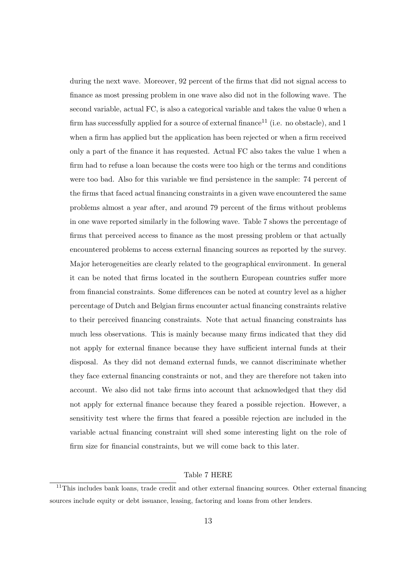during the next wave. Moreover, 92 percent of the firms that did not signal access to finance as most pressing problem in one wave also did not in the following wave. The second variable, actual FC, is also a categorical variable and takes the value 0 when a firm has successfully applied for a source of external finance<sup>11</sup> (i.e. no obstacle), and 1 when a firm has applied but the application has been rejected or when a firm received only a part of the finance it has requested. Actual FC also takes the value 1 when a firm had to refuse a loan because the costs were too high or the terms and conditions were too bad. Also for this variable we find persistence in the sample: 74 percent of the firms that faced actual financing constraints in a given wave encountered the same problems almost a year after, and around 79 percent of the firms without problems in one wave reported similarly in the following wave. Table 7 shows the percentage of firms that perceived access to finance as the most pressing problem or that actually encountered problems to access external financing sources as reported by the survey. Major heterogeneities are clearly related to the geographical environment. In general it can be noted that firms located in the southern European countries suffer more from financial constraints. Some differences can be noted at country level as a higher percentage of Dutch and Belgian firms encounter actual financing constraints relative to their perceived financing constraints. Note that actual financing constraints has much less observations. This is mainly because many firms indicated that they did not apply for external finance because they have sufficient internal funds at their disposal. As they did not demand external funds, we cannot discriminate whether they face external financing constraints or not, and they are therefore not taken into account. We also did not take firms into account that acknowledged that they did not apply for external finance because they feared a possible rejection. However, a sensitivity test where the firms that feared a possible rejection are included in the variable actual financing constraint will shed some interesting light on the role of firm size for financial constraints, but we will come back to this later.

#### Table 7 HERE

 $11$ This includes bank loans, trade credit and other external financing sources. Other external financing sources include equity or debt issuance, leasing, factoring and loans from other lenders.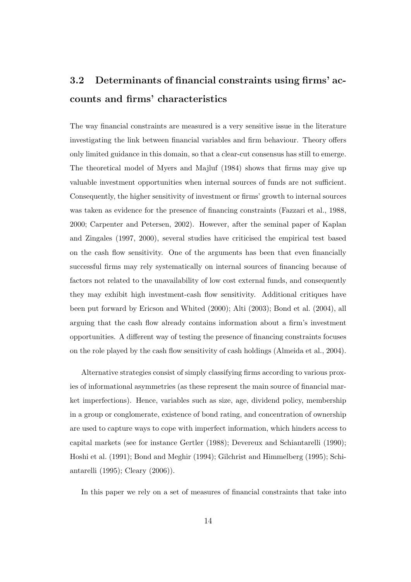# 3.2 Determinants of financial constraints using firms' accounts and firms' characteristics

The way financial constraints are measured is a very sensitive issue in the literature investigating the link between financial variables and firm behaviour. Theory offers only limited guidance in this domain, so that a clear-cut consensus has still to emerge. The theoretical model of Myers and Majluf (1984) shows that firms may give up valuable investment opportunities when internal sources of funds are not sufficient. Consequently, the higher sensitivity of investment or firms' growth to internal sources was taken as evidence for the presence of financing constraints (Fazzari et al., 1988, 2000; Carpenter and Petersen, 2002). However, after the seminal paper of Kaplan and Zingales (1997, 2000), several studies have criticised the empirical test based on the cash flow sensitivity. One of the arguments has been that even financially successful firms may rely systematically on internal sources of financing because of factors not related to the unavailability of low cost external funds, and consequently they may exhibit high investment-cash flow sensitivity. Additional critiques have been put forward by Ericson and Whited (2000); Alti (2003); Bond et al. (2004), all arguing that the cash flow already contains information about a firm's investment opportunities. A different way of testing the presence of financing constraints focuses on the role played by the cash flow sensitivity of cash holdings (Almeida et al., 2004).

Alternative strategies consist of simply classifying firms according to various proxies of informational asymmetries (as these represent the main source of financial market imperfections). Hence, variables such as size, age, dividend policy, membership in a group or conglomerate, existence of bond rating, and concentration of ownership are used to capture ways to cope with imperfect information, which hinders access to capital markets (see for instance Gertler (1988); Devereux and Schiantarelli (1990); Hoshi et al. (1991); Bond and Meghir (1994); Gilchrist and Himmelberg (1995); Schiantarelli (1995); Cleary (2006)).

In this paper we rely on a set of measures of financial constraints that take into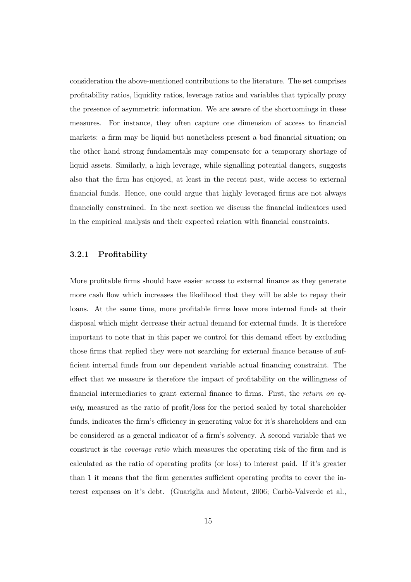consideration the above-mentioned contributions to the literature. The set comprises profitability ratios, liquidity ratios, leverage ratios and variables that typically proxy the presence of asymmetric information. We are aware of the shortcomings in these measures. For instance, they often capture one dimension of access to financial markets: a firm may be liquid but nonetheless present a bad financial situation; on the other hand strong fundamentals may compensate for a temporary shortage of liquid assets. Similarly, a high leverage, while signalling potential dangers, suggests also that the firm has enjoyed, at least in the recent past, wide access to external financial funds. Hence, one could argue that highly leveraged firms are not always financially constrained. In the next section we discuss the financial indicators used in the empirical analysis and their expected relation with financial constraints.

#### 3.2.1 Profitability

More profitable firms should have easier access to external finance as they generate more cash flow which increases the likelihood that they will be able to repay their loans. At the same time, more profitable firms have more internal funds at their disposal which might decrease their actual demand for external funds. It is therefore important to note that in this paper we control for this demand effect by excluding those firms that replied they were not searching for external finance because of sufficient internal funds from our dependent variable actual financing constraint. The effect that we measure is therefore the impact of profitability on the willingness of financial intermediaries to grant external finance to firms. First, the return on equity, measured as the ratio of profit/loss for the period scaled by total shareholder funds, indicates the firm's efficiency in generating value for it's shareholders and can be considered as a general indicator of a firm's solvency. A second variable that we construct is the coverage ratio which measures the operating risk of the firm and is calculated as the ratio of operating profits (or loss) to interest paid. If it's greater than 1 it means that the firm generates sufficient operating profits to cover the interest expenses on it's debt. (Guariglia and Mateut, 2006; Carbò-Valverde et al.,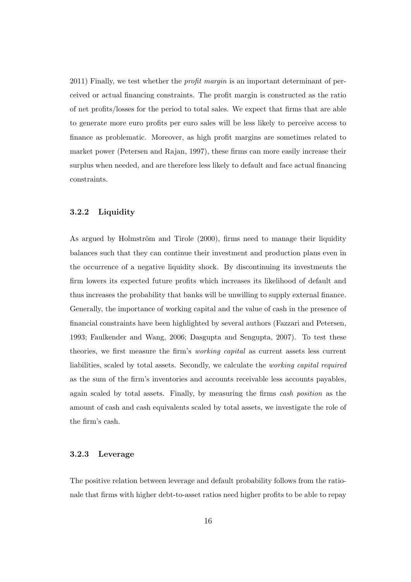2011) Finally, we test whether the *profit margin* is an important determinant of perceived or actual financing constraints. The profit margin is constructed as the ratio of net profits/losses for the period to total sales. We expect that firms that are able to generate more euro profits per euro sales will be less likely to perceive access to finance as problematic. Moreover, as high profit margins are sometimes related to market power (Petersen and Rajan, 1997), these firms can more easily increase their surplus when needed, and are therefore less likely to default and face actual financing constraints.

#### 3.2.2 Liquidity

As argued by Holmström and Tirole (2000), firms need to manage their liquidity balances such that they can continue their investment and production plans even in the occurrence of a negative liquidity shock. By discontinuing its investments the firm lowers its expected future profits which increases its likelihood of default and thus increases the probability that banks will be unwilling to supply external finance. Generally, the importance of working capital and the value of cash in the presence of financial constraints have been highlighted by several authors (Fazzari and Petersen, 1993; Faulkender and Wang, 2006; Dasgupta and Sengupta, 2007). To test these theories, we first measure the firm's working capital as current assets less current liabilities, scaled by total assets. Secondly, we calculate the working capital required as the sum of the firm's inventories and accounts receivable less accounts payables, again scaled by total assets. Finally, by measuring the firms cash position as the amount of cash and cash equivalents scaled by total assets, we investigate the role of the firm's cash.

#### 3.2.3 Leverage

The positive relation between leverage and default probability follows from the rationale that firms with higher debt-to-asset ratios need higher profits to be able to repay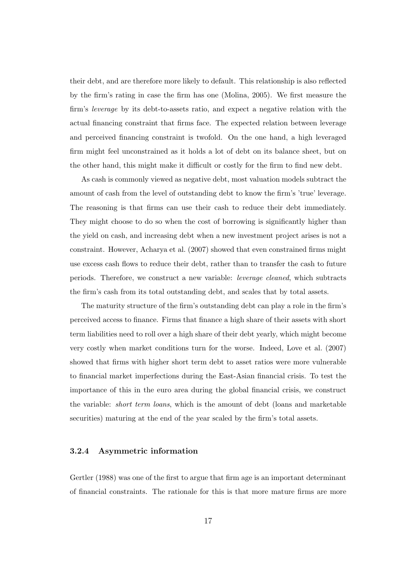their debt, and are therefore more likely to default. This relationship is also reflected by the firm's rating in case the firm has one (Molina, 2005). We first measure the firm's leverage by its debt-to-assets ratio, and expect a negative relation with the actual financing constraint that firms face. The expected relation between leverage and perceived financing constraint is twofold. On the one hand, a high leveraged firm might feel unconstrained as it holds a lot of debt on its balance sheet, but on the other hand, this might make it difficult or costly for the firm to find new debt.

As cash is commonly viewed as negative debt, most valuation models subtract the amount of cash from the level of outstanding debt to know the firm's 'true' leverage. The reasoning is that firms can use their cash to reduce their debt immediately. They might choose to do so when the cost of borrowing is significantly higher than the yield on cash, and increasing debt when a new investment project arises is not a constraint. However, Acharya et al. (2007) showed that even constrained firms might use excess cash flows to reduce their debt, rather than to transfer the cash to future periods. Therefore, we construct a new variable: leverage cleaned, which subtracts the firm's cash from its total outstanding debt, and scales that by total assets.

The maturity structure of the firm's outstanding debt can play a role in the firm's perceived access to finance. Firms that finance a high share of their assets with short term liabilities need to roll over a high share of their debt yearly, which might become very costly when market conditions turn for the worse. Indeed, Love et al. (2007) showed that firms with higher short term debt to asset ratios were more vulnerable to financial market imperfections during the East-Asian financial crisis. To test the importance of this in the euro area during the global financial crisis, we construct the variable: short term loans, which is the amount of debt (loans and marketable securities) maturing at the end of the year scaled by the firm's total assets.

#### 3.2.4 Asymmetric information

Gertler (1988) was one of the first to argue that firm age is an important determinant of financial constraints. The rationale for this is that more mature firms are more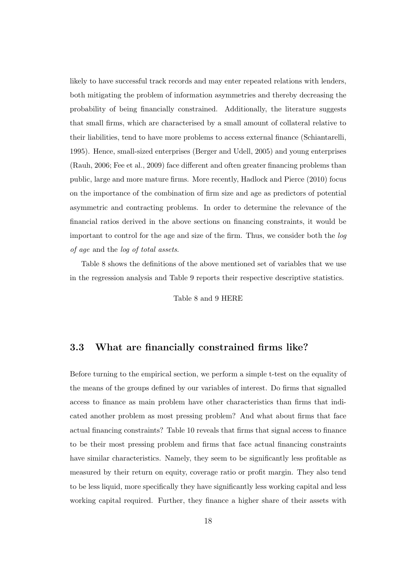likely to have successful track records and may enter repeated relations with lenders, both mitigating the problem of information asymmetries and thereby decreasing the probability of being financially constrained. Additionally, the literature suggests that small firms, which are characterised by a small amount of collateral relative to their liabilities, tend to have more problems to access external finance (Schiantarelli, 1995). Hence, small-sized enterprises (Berger and Udell, 2005) and young enterprises (Rauh, 2006; Fee et al., 2009) face different and often greater financing problems than public, large and more mature firms. More recently, Hadlock and Pierce (2010) focus on the importance of the combination of firm size and age as predictors of potential asymmetric and contracting problems. In order to determine the relevance of the financial ratios derived in the above sections on financing constraints, it would be important to control for the age and size of the firm. Thus, we consider both the log of age and the log of total assets.

Table 8 shows the definitions of the above mentioned set of variables that we use in the regression analysis and Table 9 reports their respective descriptive statistics.

Table 8 and 9 HERE

#### 3.3 What are financially constrained firms like?

Before turning to the empirical section, we perform a simple t-test on the equality of the means of the groups defined by our variables of interest. Do firms that signalled access to finance as main problem have other characteristics than firms that indicated another problem as most pressing problem? And what about firms that face actual financing constraints? Table 10 reveals that firms that signal access to finance to be their most pressing problem and firms that face actual financing constraints have similar characteristics. Namely, they seem to be significantly less profitable as measured by their return on equity, coverage ratio or profit margin. They also tend to be less liquid, more specifically they have significantly less working capital and less working capital required. Further, they finance a higher share of their assets with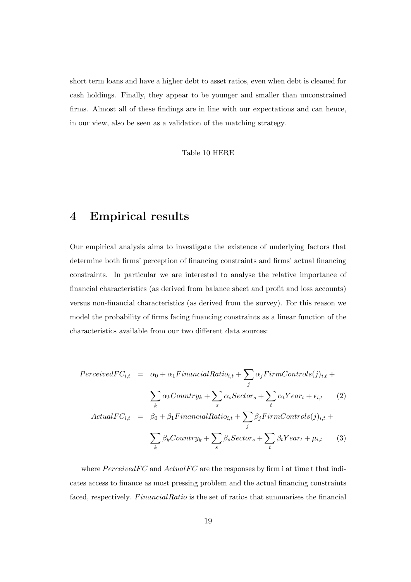short term loans and have a higher debt to asset ratios, even when debt is cleaned for cash holdings. Finally, they appear to be younger and smaller than unconstrained firms. Almost all of these findings are in line with our expectations and can hence, in our view, also be seen as a validation of the matching strategy.

Table 10 HERE

### 4 Empirical results

Our empirical analysis aims to investigate the existence of underlying factors that determine both firms' perception of financing constraints and firms' actual financing constraints. In particular we are interested to analyse the relative importance of financial characteristics (as derived from balance sheet and profit and loss accounts) versus non-financial characteristics (as derived from the survey). For this reason we model the probability of firms facing financing constraints as a linear function of the characteristics available from our two different data sources:

$$
PerceivedFC_{i,t} = \alpha_0 + \alpha_1 FinancialRatio_{i,t} + \sum_j \alpha_j FirmControls(j)_{i,t} + \sum_k \alpha_k Country_k + \sum_s \alpha_s Sector_s + \sum_t \alpha_t Year_t + \epsilon_{i,t} \qquad (2)
$$

$$
ActualFC_{i,t} = \beta_0 + \beta_1 FinancialRatio_{i,t} + \sum_j \beta_j FirmControls(j)_{i,t} + \sum_k \beta_k Country_k + \sum_s \beta_s Sector_s + \sum_t \beta_t Year_t + \mu_{i,t} \qquad (3)
$$

where  $PerceivedFC$  and  $ActualFC$  are the responses by firm i at time t that indicates access to finance as most pressing problem and the actual financing constraints faced, respectively. FinancialRatio is the set of ratios that summarises the financial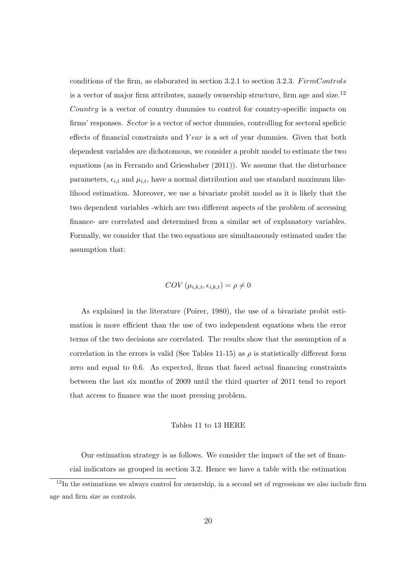conditions of the firm, as elaborated in section 3.2.1 to section 3.2.3.  $F \text{irm} Controls$ is a vector of major firm attributes, namely ownership structure, firm age and size.<sup>12</sup> Country is a vector of country dummies to control for country-specific impacts on firms' responses. Sector is a vector of sector dummies, controlling for sectoral speficic effects of financial constraints and Y ear is a set of year dummies. Given that both dependent variables are dichotomous, we consider a probit model to estimate the two equations (as in Ferrando and Griesshaber (2011)). We assume that the disturbance parameters,  $\epsilon_{i,t}$  and  $\mu_{i,t}$ , have a normal distribution and use standard maximum likelihood estimation. Moreover, we use a bivariate probit model as it is likely that the two dependent variables -which are two different aspects of the problem of accessing finance- are correlated and determined from a similar set of explanatory variables. Formally, we consider that the two equations are simultaneously estimated under the assumption that:

$$
COV(\mu_{i,k,t}, \epsilon_{i,k,t}) = \rho \neq 0
$$

As explained in the literature (Poirer, 1980), the use of a bivariate probit estimation is more efficient than the use of two independent equations when the error terms of the two decisions are correlated. The results show that the assumption of a correlation in the errors is valid (See Tables 11-15) as  $\rho$  is statistically different form zero and equal to 0.6. As expected, firms that faced actual financing constraints between the last six months of 2009 until the third quarter of 2011 tend to report that access to finance was the most pressing problem.

#### Tables 11 to 13 HERE

Our estimation strategy is as follows. We consider the impact of the set of financial indicators as grouped in section 3.2. Hence we have a table with the estimation

 $12$ In the estimations we always control for ownership, in a second set of regressions we also include firm age and firm size as controls.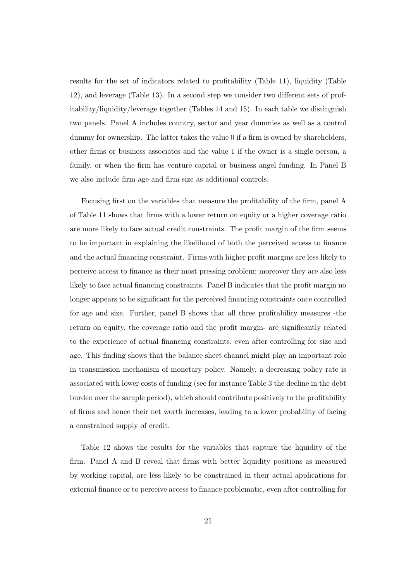results for the set of indicators related to profitability (Table 11), liquidity (Table 12), and leverage (Table 13). In a second step we consider two different sets of profitability/liquidity/leverage together (Tables 14 and 15). In each table we distinguish two panels. Panel A includes country, sector and year dummies as well as a control dummy for ownership. The latter takes the value 0 if a firm is owned by shareholders, other firms or business associates and the value 1 if the owner is a single person, a family, or when the firm has venture capital or business angel funding. In Panel B we also include firm age and firm size as additional controls.

Focusing first on the variables that measure the profitability of the firm, panel A of Table 11 shows that firms with a lower return on equity or a higher coverage ratio are more likely to face actual credit constraints. The profit margin of the firm seems to be important in explaining the likelihood of both the perceived access to finance and the actual financing constraint. Firms with higher profit margins are less likely to perceive access to finance as their most pressing problem; moreover they are also less likely to face actual financing constraints. Panel B indicates that the profit margin no longer appears to be significant for the perceived financing constraints once controlled for age and size. Further, panel B shows that all three profitability measures -the return on equity, the coverage ratio and the profit margin- are significantly related to the experience of actual financing constraints, even after controlling for size and age. This finding shows that the balance sheet channel might play an important role in transmission mechanism of monetary policy. Namely, a decreasing policy rate is associated with lower costs of funding (see for instance Table 3 the decline in the debt burden over the sample period), which should contribute positively to the profitability of firms and hence their net worth increases, leading to a lower probability of facing a constrained supply of credit.

Table 12 shows the results for the variables that capture the liquidity of the firm. Panel A and B reveal that firms with better liquidity positions as measured by working capital, are less likely to be constrained in their actual applications for external finance or to perceive access to finance problematic, even after controlling for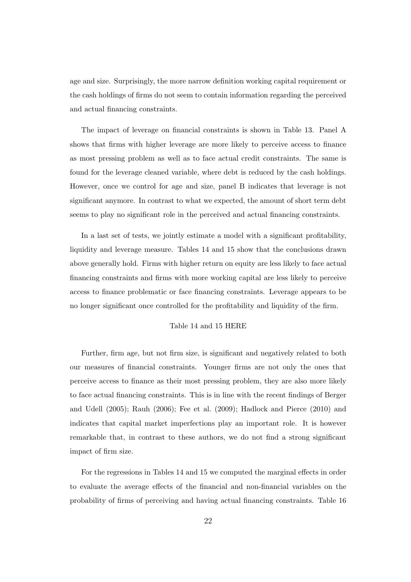age and size. Surprisingly, the more narrow definition working capital requirement or the cash holdings of firms do not seem to contain information regarding the perceived and actual financing constraints.

The impact of leverage on financial constraints is shown in Table 13. Panel A shows that firms with higher leverage are more likely to perceive access to finance as most pressing problem as well as to face actual credit constraints. The same is found for the leverage cleaned variable, where debt is reduced by the cash holdings. However, once we control for age and size, panel B indicates that leverage is not significant anymore. In contrast to what we expected, the amount of short term debt seems to play no significant role in the perceived and actual financing constraints.

In a last set of tests, we jointly estimate a model with a significant profitability, liquidity and leverage measure. Tables 14 and 15 show that the conclusions drawn above generally hold. Firms with higher return on equity are less likely to face actual financing constraints and firms with more working capital are less likely to perceive access to finance problematic or face financing constraints. Leverage appears to be no longer significant once controlled for the profitability and liquidity of the firm.

#### Table 14 and 15 HERE

Further, firm age, but not firm size, is significant and negatively related to both our measures of financial constraints. Younger firms are not only the ones that perceive access to finance as their most pressing problem, they are also more likely to face actual financing constraints. This is in line with the recent findings of Berger and Udell (2005); Rauh (2006); Fee et al. (2009); Hadlock and Pierce (2010) and indicates that capital market imperfections play an important role. It is however remarkable that, in contrast to these authors, we do not find a strong significant impact of firm size.

For the regressions in Tables 14 and 15 we computed the marginal effects in order to evaluate the average effects of the financial and non-financial variables on the probability of firms of perceiving and having actual financing constraints. Table 16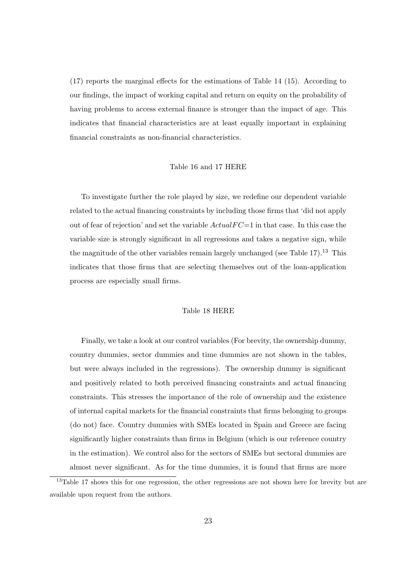(17) reports the marginal effects for the estimations of Table 14 (15). According to our findings, the impact of working capital and return on equity on the probability of having problems to access external finance is stronger than the impact of age. This indicates that financial characteristics are at least equally important in explaining financial constraints as non-financial characteristics.

#### Table 16 and 17 HERE

To investigate further the role played by size, we redefine our dependent variable related to the actual financing constraints by including those firms that 'did not apply out of fear of rejection' and set the variable  $Actual FC=1$  in that case. In this case the variable size is strongly significant in all regressions and takes a negative sign, while the magnitude of the other variables remain largely unchanged (see Table  $17$ ).<sup>13</sup> This indicates that those firms that are selecting themselves out of the loan-application process are especially small firms.

#### Table 18 HERE

Finally, we take a look at our control variables (For brevity, the ownership dummy, country dummies, sector dummies and time dummies are not shown in the tables, but were always included in the regressions). The ownership dummy is significant and positively related to both perceived financing constraints and actual financing constraints. This stresses the importance of the role of ownership and the existence of internal capital markets for the financial constraints that firms belonging to groups (do not) face. Country dummies with SMEs located in Spain and Greece are facing significantly higher constraints than firms in Belgium (which is our reference country in the estimation). We control also for the sectors of SMEs but sectoral dummies are almost never significant. As for the time dummies, it is found that firms are more

<sup>&</sup>lt;sup>13</sup>Table 17 shows this for one regression, the other regressions are not shown here for brevity but are available upon request from the authors.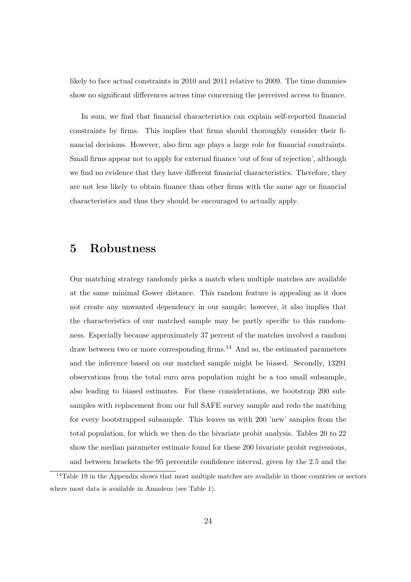likely to face actual constraints in 2010 and 2011 relative to 2009. The time dummies show no significant differences across time concerning the perceived access to finance.

In sum, we find that financial characteristics can explain self-reported financial constraints by firms. This implies that firms should thoroughly consider their financial decisions. However, also firm age plays a large role for financial constraints. Small firms appear not to apply for external finance 'out of fear of rejection', although we find no evidence that they have different financial characteristics. Therefore, they are not less likely to obtain finance than other firms with the same age or financial characteristics and thus they should be encouraged to actually apply.

### 5 Robustness

Our matching strategy randomly picks a match when multiple matches are available at the same minimal Gower distance. This random feature is appealing as it does not create any unwanted dependency in our sample; however, it also implies that the characteristics of our matched sample may be partly specific to this randomness. Especially because approximately 37 percent of the matches involved a random draw between two or more corresponding firms.<sup>14</sup> And so, the estimated parameters and the inference based on our matched sample might be biased. Secondly, 13291 observations from the total euro area population might be a too small subsample, also leading to biased estimates. For these considerations, we bootstrap 200 subsamples with replacement from our full SAFE survey sample and redo the matching for every bootstrapped subsample. This leaves us with 200 'new' samples from the total population, for which we then do the bivariate probit analysis. Tables 20 to 22 show the median parameter estimate found for these 200 bivariate probit regressions, and between brackets the 95 percentile confidence interval, given by the 2.5 and the

<sup>&</sup>lt;sup>14</sup>Table 19 in the Appendix shows that most multiple matches are available in those countries or sectors where most data is available in Amadeus (see Table 1).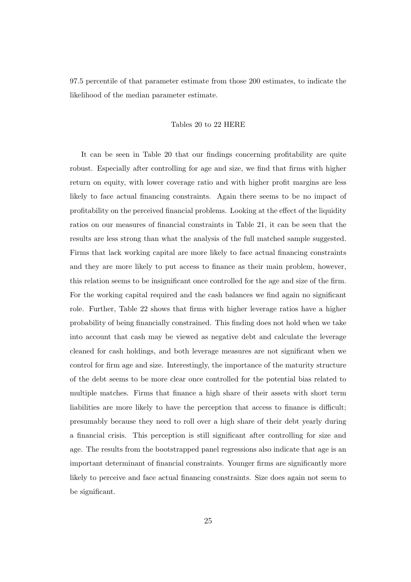97.5 percentile of that parameter estimate from those 200 estimates, to indicate the likelihood of the median parameter estimate.

#### Tables 20 to 22 HERE

It can be seen in Table 20 that our findings concerning profitability are quite robust. Especially after controlling for age and size, we find that firms with higher return on equity, with lower coverage ratio and with higher profit margins are less likely to face actual financing constraints. Again there seems to be no impact of profitability on the perceived financial problems. Looking at the effect of the liquidity ratios on our measures of financial constraints in Table 21, it can be seen that the results are less strong than what the analysis of the full matched sample suggested. Firms that lack working capital are more likely to face actual financing constraints and they are more likely to put access to finance as their main problem, however, this relation seems to be insignificant once controlled for the age and size of the firm. For the working capital required and the cash balances we find again no significant role. Further, Table 22 shows that firms with higher leverage ratios have a higher probability of being financially constrained. This finding does not hold when we take into account that cash may be viewed as negative debt and calculate the leverage cleaned for cash holdings, and both leverage measures are not significant when we control for firm age and size. Interestingly, the importance of the maturity structure of the debt seems to be more clear once controlled for the potential bias related to multiple matches. Firms that finance a high share of their assets with short term liabilities are more likely to have the perception that access to finance is difficult; presumably because they need to roll over a high share of their debt yearly during a financial crisis. This perception is still significant after controlling for size and age. The results from the bootstrapped panel regressions also indicate that age is an important determinant of financial constraints. Younger firms are significantly more likely to perceive and face actual financing constraints. Size does again not seem to be significant.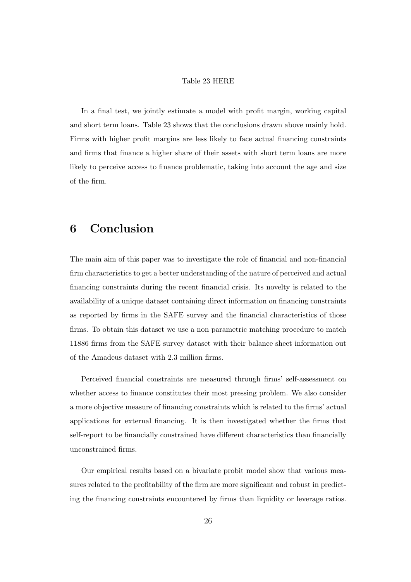#### Table 23 HERE

In a final test, we jointly estimate a model with profit margin, working capital and short term loans. Table 23 shows that the conclusions drawn above mainly hold. Firms with higher profit margins are less likely to face actual financing constraints and firms that finance a higher share of their assets with short term loans are more likely to perceive access to finance problematic, taking into account the age and size of the firm.

### 6 Conclusion

The main aim of this paper was to investigate the role of financial and non-financial firm characteristics to get a better understanding of the nature of perceived and actual financing constraints during the recent financial crisis. Its novelty is related to the availability of a unique dataset containing direct information on financing constraints as reported by firms in the SAFE survey and the financial characteristics of those firms. To obtain this dataset we use a non parametric matching procedure to match 11886 firms from the SAFE survey dataset with their balance sheet information out of the Amadeus dataset with 2.3 million firms.

Perceived financial constraints are measured through firms' self-assessment on whether access to finance constitutes their most pressing problem. We also consider a more objective measure of financing constraints which is related to the firms' actual applications for external financing. It is then investigated whether the firms that self-report to be financially constrained have different characteristics than financially unconstrained firms.

Our empirical results based on a bivariate probit model show that various measures related to the profitability of the firm are more significant and robust in predicting the financing constraints encountered by firms than liquidity or leverage ratios.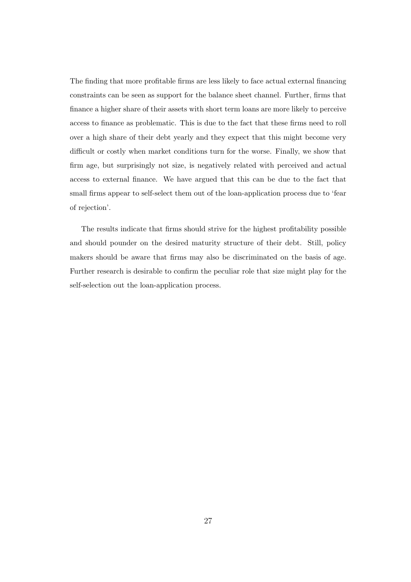The finding that more profitable firms are less likely to face actual external financing constraints can be seen as support for the balance sheet channel. Further, firms that finance a higher share of their assets with short term loans are more likely to perceive access to finance as problematic. This is due to the fact that these firms need to roll over a high share of their debt yearly and they expect that this might become very difficult or costly when market conditions turn for the worse. Finally, we show that firm age, but surprisingly not size, is negatively related with perceived and actual access to external finance. We have argued that this can be due to the fact that small firms appear to self-select them out of the loan-application process due to 'fear of rejection'.

The results indicate that firms should strive for the highest profitability possible and should pounder on the desired maturity structure of their debt. Still, policy makers should be aware that firms may also be discriminated on the basis of age. Further research is desirable to confirm the peculiar role that size might play for the self-selection out the loan-application process.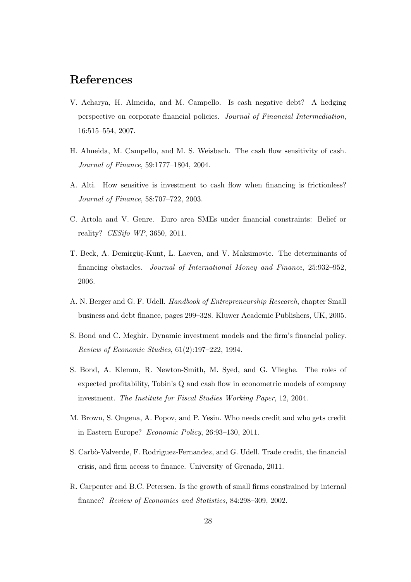### References

- V. Acharya, H. Almeida, and M. Campello. Is cash negative debt? A hedging perspective on corporate financial policies. Journal of Financial Intermediation, 16:515–554, 2007.
- H. Almeida, M. Campello, and M. S. Weisbach. The cash flow sensitivity of cash. Journal of Finance, 59:1777–1804, 2004.
- A. Alti. How sensitive is investment to cash flow when financing is frictionless? Journal of Finance, 58:707–722, 2003.
- C. Artola and V. Genre. Euro area SMEs under financial constraints: Belief or reality? CESifo WP, 3650, 2011.
- T. Beck, A. Demirgüç-Kunt, L. Laeven, and V. Maksimovic. The determinants of financing obstacles. Journal of International Money and Finance, 25:932–952, 2006.
- A. N. Berger and G. F. Udell. Handbook of Entrepreneurship Research, chapter Small business and debt finance, pages 299–328. Kluwer Academic Publishers, UK, 2005.
- S. Bond and C. Meghir. Dynamic investment models and the firm's financial policy. Review of Economic Studies, 61(2):197–222, 1994.
- S. Bond, A. Klemm, R. Newton-Smith, M. Syed, and G. Vlieghe. The roles of expected profitability, Tobin's Q and cash flow in econometric models of company investment. The Institute for Fiscal Studies Working Paper, 12, 2004.
- M. Brown, S. Ongena, A. Popov, and P. Yesin. Who needs credit and who gets credit in Eastern Europe? Economic Policy, 26:93–130, 2011.
- S. Carbò-Valverde, F. Rodriguez-Fernandez, and G. Udell. Trade credit, the financial crisis, and firm access to finance. University of Grenada, 2011.
- R. Carpenter and B.C. Petersen. Is the growth of small firms constrained by internal finance? Review of Economics and Statistics, 84:298–309, 2002.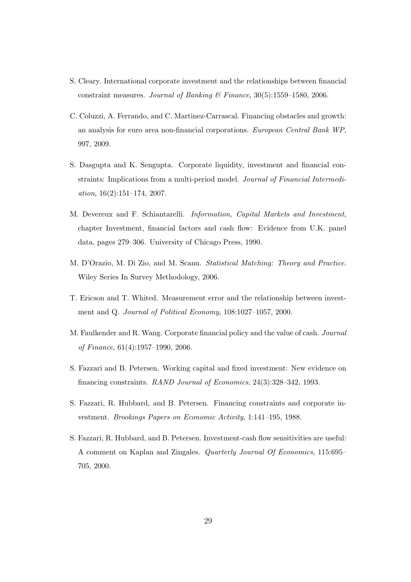- S. Cleary. International corporate investment and the relationships between financial constraint measures. Journal of Banking  $\mathcal C$  Finance, 30(5):1559–1580, 2006.
- C. Coluzzi, A. Ferrando, and C. Martinez-Carrascal. Financing obstacles and growth: an analysis for euro area non-financial corporations. European Central Bank WP, 997, 2009.
- S. Dasgupta and K. Sengupta. Corporate liquidity, investment and financial constraints: Implications from a multi-period model. Journal of Financial Intermediation, 16(2):151–174, 2007.
- M. Devereux and F. Schiantarelli. Information, Capital Markets and Investment, chapter Investment, financial factors and cash flow: Evidence from U.K. panel data, pages 279–306. University of Chicago Press, 1990.
- M. D'Orazio, M. Di Zio, and M. Scanu. Statistical Matching: Theory and Practice. Wiley Series In Survey Methodology, 2006.
- T. Ericson and T. Whited. Measurement error and the relationship between investment and Q. Journal of Political Economy, 108:1027–1057, 2000.
- M. Faulkender and R. Wang. Corporate financial policy and the value of cash. Journal of Finance, 61(4):1957–1990, 2006.
- S. Fazzari and B. Petersen. Working capital and fixed investment: New evidence on financing constraints. RAND Journal of Economics, 24(3):328–342, 1993.
- S. Fazzari, R. Hubbard, and B. Petersen. Financing constraints and corporate investment. Brookings Papers on Economic Activity, 1:141–195, 1988.
- S. Fazzari, R. Hubbard, and B. Petersen. Investment-cash flow sensitivities are useful: A comment on Kaplan and Zingales. Quarterly Journal Of Economics, 115:695– 705, 2000.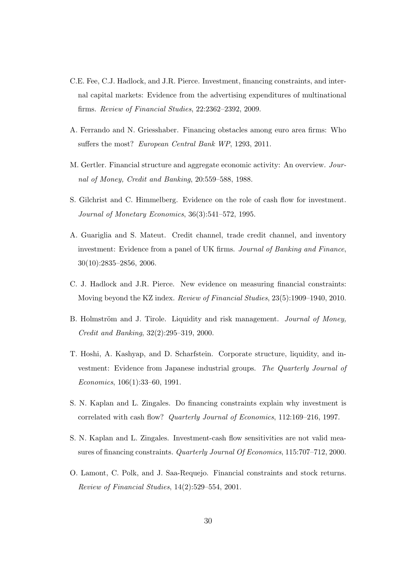- C.E. Fee, C.J. Hadlock, and J.R. Pierce. Investment, financing constraints, and internal capital markets: Evidence from the advertising expenditures of multinational firms. Review of Financial Studies, 22:2362–2392, 2009.
- A. Ferrando and N. Griesshaber. Financing obstacles among euro area firms: Who suffers the most? European Central Bank WP, 1293, 2011.
- M. Gertler. Financial structure and aggregate economic activity: An overview. Journal of Money, Credit and Banking, 20:559–588, 1988.
- S. Gilchrist and C. Himmelberg. Evidence on the role of cash flow for investment. Journal of Monetary Economics, 36(3):541–572, 1995.
- A. Guariglia and S. Mateut. Credit channel, trade credit channel, and inventory investment: Evidence from a panel of UK firms. Journal of Banking and Finance, 30(10):2835–2856, 2006.
- C. J. Hadlock and J.R. Pierce. New evidence on measuring financial constraints: Moving beyond the KZ index. Review of Financial Studies, 23(5):1909–1940, 2010.
- B. Holmström and J. Tirole. Liquidity and risk management. *Journal of Money*, Credit and Banking, 32(2):295–319, 2000.
- T. Hoshi, A. Kashyap, and D. Scharfstein. Corporate structure, liquidity, and investment: Evidence from Japanese industrial groups. The Quarterly Journal of Economics, 106(1):33–60, 1991.
- S. N. Kaplan and L. Zingales. Do financing constraints explain why investment is correlated with cash flow? Quarterly Journal of Economics, 112:169–216, 1997.
- S. N. Kaplan and L. Zingales. Investment-cash flow sensitivities are not valid measures of financing constraints. Quarterly Journal Of Economics, 115:707–712, 2000.
- O. Lamont, C. Polk, and J. Saa-Requejo. Financial constraints and stock returns. Review of Financial Studies, 14(2):529–554, 2001.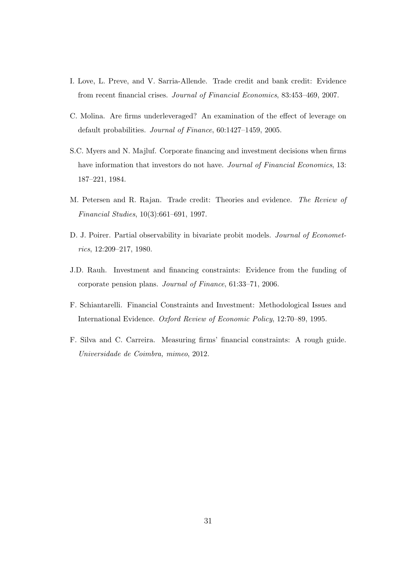- I. Love, L. Preve, and V. Sarria-Allende. Trade credit and bank credit: Evidence from recent financial crises. Journal of Financial Economics, 83:453–469, 2007.
- C. Molina. Are firms underleveraged? An examination of the effect of leverage on default probabilities. Journal of Finance, 60:1427–1459, 2005.
- S.C. Myers and N. Majluf. Corporate financing and investment decisions when firms have information that investors do not have. Journal of Financial Economics, 13: 187–221, 1984.
- M. Petersen and R. Rajan. Trade credit: Theories and evidence. The Review of Financial Studies, 10(3):661–691, 1997.
- D. J. Poirer. Partial observability in bivariate probit models. Journal of Econometrics, 12:209–217, 1980.
- J.D. Rauh. Investment and financing constraints: Evidence from the funding of corporate pension plans. Journal of Finance, 61:33–71, 2006.
- F. Schiantarelli. Financial Constraints and Investment: Methodological Issues and International Evidence. Oxford Review of Economic Policy, 12:70–89, 1995.
- F. Silva and C. Carreira. Measuring firms' financial constraints: A rough guide. Universidade de Coimbra, mimeo, 2012.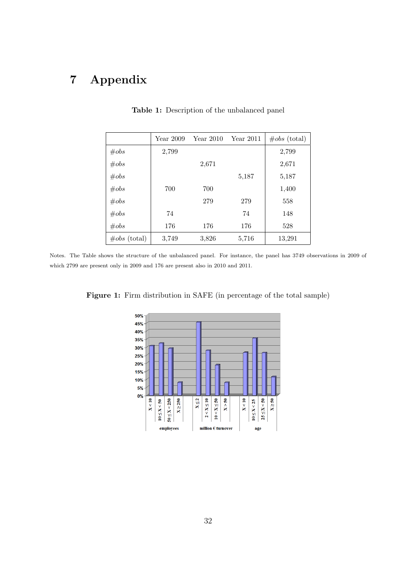## 7 Appendix

|                 | Year 2009 | Year $2010$ | <b>Year 2011</b> | $\#obs$ (total) |
|-----------------|-----------|-------------|------------------|-----------------|
| $\#obs$         | 2,799     |             |                  | 2,799           |
| $\#obs$         |           | 2,671       |                  | 2,671           |
| $\#obs$         |           |             | 5,187            | 5,187           |
| $\#obs$         | 700       | 700         |                  | 1,400           |
| $\#obs$         |           | 279         | 279              | 558             |
| $\#obs$         | 74        |             | 74               | 148             |
| $\#obs$         | 176       | 176         | 176              | 528             |
| $\#obs$ (total) | 3,749     | 3,826       | 5,716            | 13,291          |

Table 1: Description of the unbalanced panel

Notes. The Table shows the structure of the unbalanced panel. For instance, the panel has 3749 observations in 2009 of which 2799 are present only in 2009 and 176 are present also in 2010 and 2011.



Figure 1: Firm distribution in SAFE (in percentage of the total sample)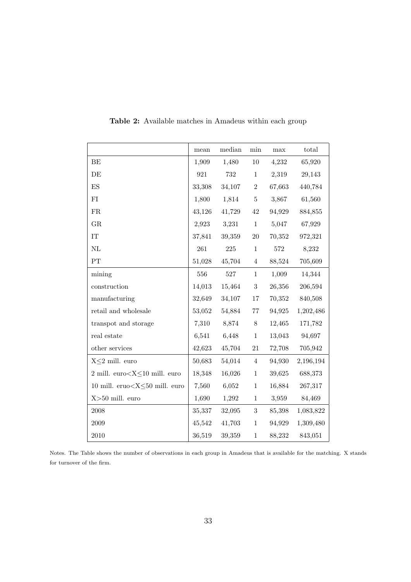|                                           | mean   | median  | $\min$         | max    | total     |
|-------------------------------------------|--------|---------|----------------|--------|-----------|
| BE                                        | 1,909  | 1,480   | $10\,$         | 4,232  | 65,920    |
| DE                                        | 921    | 732     | $\mathbf{1}$   | 2,319  | 29,143    |
| $\mathop{\hbox{\rm ES}}$                  | 33,308 | 34,107  | $\,2$          | 67,663 | 440,784   |
| FI                                        | 1,800  | 1,814   | $\bf 5$        | 3,867  | 61,560    |
| ${\rm FR}$                                | 43,126 | 41,729  | $42\,$         | 94,929 | 884,855   |
| ${\rm GR}$                                | 2,923  | 3,231   | $\mathbf{1}$   | 5,047  | 67,929    |
| $\ensuremath{\mathrm{IT}}$                | 37,841 | 39,359  | $20\,$         | 70,352 | 972,321   |
| $\rm NL$                                  | 261    | $225\,$ | $1\,$          | 572    | 8,232     |
| ${\cal PT}$                               | 51,028 | 45,704  | $\overline{4}$ | 88,524 | 705,609   |
| mining                                    | 556    | 527     | $\,1$          | 1,009  | 14,344    |
| construction                              | 14,013 | 15,464  | $\sqrt{3}$     | 26,356 | 206,594   |
| manufacturing                             | 32,649 | 34,107  | 17             | 70,352 | 840,508   |
| retail and wholesale                      | 53,052 | 54,884  | $77\,$         | 94,925 | 1,202,486 |
| transpot and storage                      | 7,310  | 8,874   | $8\,$          | 12,465 | 171,782   |
| real estate                               | 6,541  | 6,448   | $\mathbf{1}$   | 13,043 | 94,697    |
| other services                            | 42,623 | 45,704  | $21\,$         | 72,708 | 705,942   |
| $X \leq 2$ mill. euro                     | 50,683 | 54,014  | $\overline{4}$ | 94,930 | 2,196,194 |
| $2$ mill. euro $<$ X $\leq$ 10 mill. euro | 18,348 | 16,026  | $\,1$          | 39,625 | 688,373   |
| 10 mill. eruo $<$ X $\leq$ 50 mill. euro  | 7,560  | 6,052   | $\mathbf{1}$   | 16,884 | 267,317   |
| $X>50$ mill. euro                         | 1,690  | 1,292   | $1\,$          | 3,959  | 84,469    |
| 2008                                      | 35,337 | 32,095  | 3              | 85,398 | 1,083,822 |
| 2009                                      | 45,542 | 41,703  | $\,1$          | 94,929 | 1,309,480 |
| 2010                                      | 36,519 | 39,359  | $\mathbf{1}$   | 88,232 | 843,051   |

Table 2: Available matches in Amadeus within each group

Notes. The Table shows the number of observations in each group in Amadeus that is available for the matching. X stands for turnover of the firm.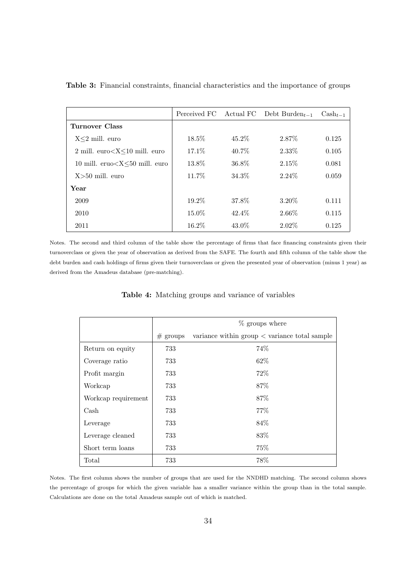|                                                       |          |          | Perceived FC Actual FC Debt Burden $_{t-1}$ | $\text{Cash}_{t-1}$ |
|-------------------------------------------------------|----------|----------|---------------------------------------------|---------------------|
| Turnover Class                                        |          |          |                                             |                     |
| $X \leq 2$ mill. euro                                 | $18.5\%$ | $45.2\%$ | 2.87\%                                      | 0.125               |
| $2 \text{ mill. euro} < X \leq 10 \text{ mill. euro}$ | 17.1\%   | 40.7\%   | 2.33\%                                      | 0.105               |
| 10 mill. $eruo < X < 50$ mill. $euro$                 | 13.8%    | 36.8%    | 2.15%                                       | 0.081               |
| $X > 50$ mill. euro                                   | 11.7%    | 34.3%    | $2.24\%$                                    | 0.059               |
| Year                                                  |          |          |                                             |                     |
| 2009                                                  | $19.2\%$ | 37.8%    | 3.20%                                       | 0.111               |
| 2010                                                  | $15.0\%$ | $42.4\%$ | 2.66\%                                      | 0.115               |
| 2011                                                  | 16.2%    | $43.0\%$ | $2.02\%$                                    | 0.125               |

Table 3: Financial constraints, financial characteristics and the importance of groups

Notes. The second and third column of the table show the percentage of firms that face financing constraints given their turnoverclass or given the year of observation as derived from the SAFE. The fourth and fifth column of the table show the debt burden and cash holdings of firms given their turnoverclass or given the presented year of observation (minus 1 year) as derived from the Amadeus database (pre-matching).

|                     |            | $\%$ groups where                                             |
|---------------------|------------|---------------------------------------------------------------|
|                     | $#$ groups | variance within $\text{group} < \text{variance total sample}$ |
| Return on equity    | 733        | 74%                                                           |
| Coverage ratio      | 733        | 62\%                                                          |
| Profit margin       | 733        | 72\%                                                          |
| Workcap             | 733        | 87\%                                                          |
| Workcap requirement | 733        | 87%                                                           |
| Cash                | 733        | 77\%                                                          |
| Leverage            | 733        | 84%                                                           |
| Leverage cleaned    | 733        | 83%                                                           |
| Short term loans    | 733        | 75%                                                           |
| Total               | 733        | 78%                                                           |

Table 4: Matching groups and variance of variables

Notes. The first column shows the number of groups that are used for the NNDHD matching. The second column shows the percentage of groups for which the given variable has a smaller variance within the group than in the total sample. Calculations are done on the total Amadeus sample out of which is matched.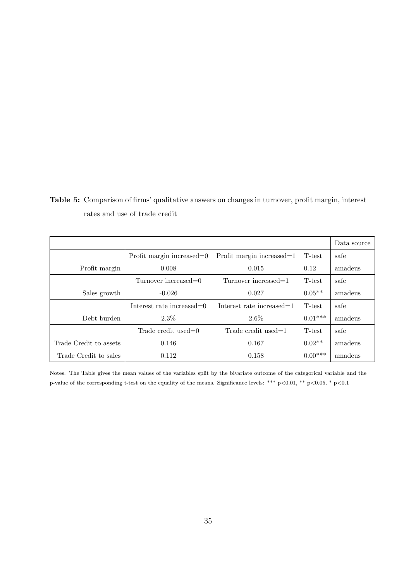Table 5: Comparison of firms' qualitative answers on changes in turnover, profit margin, interest rates and use of trade credit

|                        |                              |                              |           | Data source |
|------------------------|------------------------------|------------------------------|-----------|-------------|
|                        | Profit margin increased=0    | Profit margin increased=1    | T-test    | safe        |
| Profit margin          | 0.008                        | 0.015                        | 0.12      | amadeus     |
|                        | Turnover increased=0         | Turnover increased=1         | T-test    | safe        |
| Sales growth           | $-0.026$                     | 0.027                        | $0.05**$  | amadeus     |
|                        | Interest rate increased= $0$ | Interest rate increased= $1$ | T-test    | safe        |
| Debt burden            | 2.3%                         | $2.6\%$                      | $0.01***$ | amadeus     |
|                        | Trade credit used= $0$       | Trade credit used= $1$       | T-test    | safe        |
| Trade Credit to assets | 0.146                        | 0.167                        | $0.02**$  | amadeus     |
| Trade Credit to sales  | 0.112                        | 0.158                        | $0.00***$ | amadeus     |

Notes. The Table gives the mean values of the variables split by the bivariate outcome of the categorical variable and the p-value of the corresponding t-test on the equality of the means. Significance levels: \*\*\* p<0.01, \*\* p<0.05, \* p<0.1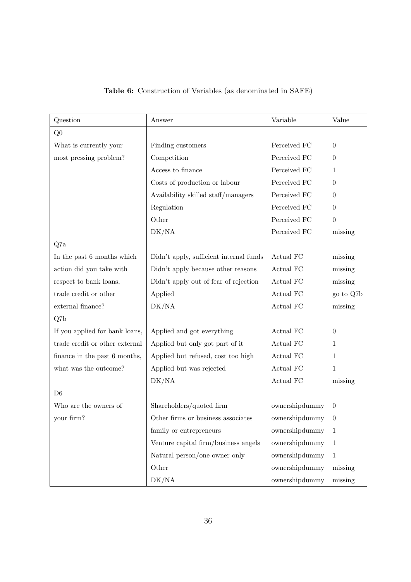| Question                       | Answer                                  | Variable             | Value          |
|--------------------------------|-----------------------------------------|----------------------|----------------|
| Q <sub>0</sub>                 |                                         |                      |                |
| What is currently your         | Finding customers                       | Perceived FC         | $\overline{0}$ |
| most pressing problem?         | Competition                             | Perceived FC         | $\theta$       |
|                                | Access to finance                       | Perceived FC         | $\mathbf{1}$   |
|                                | Costs of production or labour           | Perceived FC         | $\theta$       |
|                                | Availability skilled staff/managers     | Perceived FC         | $\theta$       |
|                                | Regulation                              | Perceived FC         | $\theta$       |
|                                | Other                                   | Perceived FC         | $\theta$       |
|                                | DK/NA                                   | Perceived FC         | missing        |
| Q7a                            |                                         |                      |                |
| In the past 6 months which     | Didn't apply, sufficient internal funds | Actual FC            | missing        |
| action did you take with       | Didn't apply because other reasons      | Actual FC            | missing        |
| respect to bank loans,         | Didn't apply out of fear of rejection   | Actual FC            | missing        |
| trade credit or other          | Applied                                 | Actual FC            | go to Q7b      |
| external finance?              | DK/NA                                   | Actual FC            | missing        |
| Q7b                            |                                         |                      |                |
| If you applied for bank loans, | Applied and got everything              | Actual FC            | $\overline{0}$ |
| trade credit or other external | Applied but only got part of it         | Actual FC            | $\mathbf{1}$   |
| finance in the past 6 months,  | Applied but refused, cost too high      | Actual FC            | 1              |
| what was the outcome?          | Applied but was rejected                | Actual FC            | $\mathbf{1}$   |
|                                | DK/NA                                   | Actual FC            | missing        |
| D <sub>6</sub>                 |                                         |                      |                |
| Who are the owners of          | Shareholders/quoted firm                | ownershipdummy       | $\theta$       |
| your firm?                     | Other firms or business associates      | $ownershipdummy = 0$ |                |
|                                | family or entrepreneurs                 | ownershipdummy       | 1              |
|                                | Venture capital firm/business angels    | ownershipdummy       | 1              |
|                                | Natural person/one owner only           | ownershipdummy       | $\mathbf{1}$   |
|                                | Other                                   | ownershipdummy       | missing        |
|                                | DK/NA                                   | ownershipdummy       | missing        |

### Table 6: Construction of Variables (as denominated in SAFE)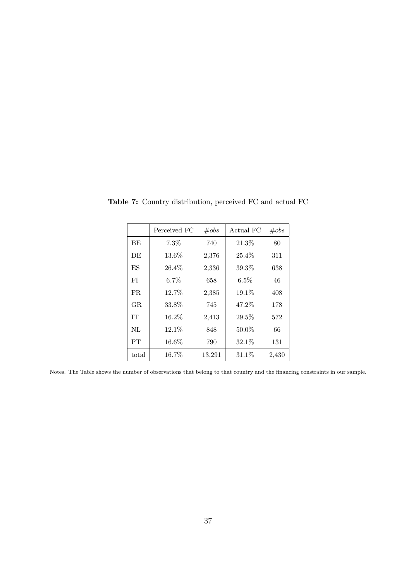|           | Perceived FC | $\#obs$ | Actual FC | $\#obs$ |
|-----------|--------------|---------|-----------|---------|
| <b>BE</b> | 7.3%         | 740     | 21.3%     | 80      |
| DE        | 13.6%        | 2,376   | $25.4\%$  | 311     |
| ES        | 26.4%        | 2,336   | 39.3%     | 638     |
| FI        | $6.7\%$      | 658     | $6.5\%$   | 46      |
| FR.       | 12.7%        | 2,385   | 19.1%     | 408     |
| GR.       | 33.8%        | 745     | 47.2%     | 178     |
| TТ        | 16.2%        | 2,413   | 29.5%     | 572     |
| NL        | 12.1%        | 848     | 50.0%     | 66      |
| PT        | $16.6\%$     | 790     | 32.1%     | 131     |
| total     | $16.7\%$     | 13,291  | $31.1\%$  | 2,430   |

Table 7: Country distribution, perceived FC and actual FC

Notes. The Table shows the number of observations that belong to that country and the financing constraints in our sample.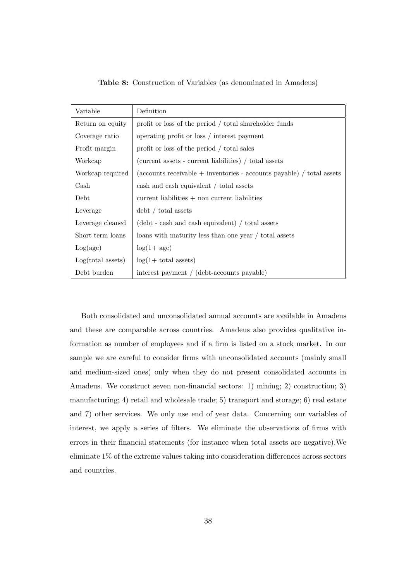| Variable          | Definition                                                            |
|-------------------|-----------------------------------------------------------------------|
| Return on equity  | profit or loss of the period / total shareholder funds                |
| Coverage ratio    | operating profit or loss / interest payment                           |
| Profit margin     | profit or loss of the period / total sales                            |
| Workcap           | (current assets - current liabilities) / total assets                 |
| Workcap required  | (accounts receivable + inventories - accounts payable) / total assets |
| Cash              | cash and cash equivalent / total assets                               |
| Debt              | $current$ liabilities $+$ non current liabilities                     |
| Leverage          | $\text{debt}$ / total assets                                          |
| Leverage cleaned  | (debt - cash and cash equivalent) / total assets                      |
| Short term loans  | loans with maturity less than one year / total assets                 |
| Log(age)          | $log(1 + age)$                                                        |
| Log(total assets) | $log(1 + total$ assets)                                               |
| Debt burden       | interest payment / (debt-accounts payable)                            |

Table 8: Construction of Variables (as denominated in Amadeus)

Both consolidated and unconsolidated annual accounts are available in Amadeus and these are comparable across countries. Amadeus also provides qualitative information as number of employees and if a firm is listed on a stock market. In our sample we are careful to consider firms with unconsolidated accounts (mainly small and medium-sized ones) only when they do not present consolidated accounts in Amadeus. We construct seven non-financial sectors: 1) mining; 2) construction; 3) manufacturing; 4) retail and wholesale trade; 5) transport and storage; 6) real estate and 7) other services. We only use end of year data. Concerning our variables of interest, we apply a series of filters. We eliminate the observations of firms with errors in their financial statements (for instance when total assets are negative).We eliminate 1% of the extreme values taking into consideration differences across sectors and countries.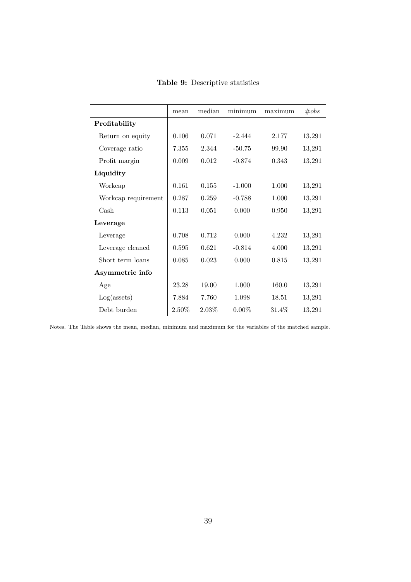|                     | mean     | median   | minimum  | maximum | $\#obs$ |
|---------------------|----------|----------|----------|---------|---------|
| Profitability       |          |          |          |         |         |
| Return on equity    | 0.106    | 0.071    | $-2.444$ | 2.177   | 13,291  |
| Coverage ratio      | 7.355    | 2.344    | $-50.75$ | 99.90   | 13,291  |
| Profit margin       | 0.009    | 0.012    | $-0.874$ | 0.343   | 13,291  |
| Liquidity           |          |          |          |         |         |
| Workcap             | 0.161    | 0.155    | $-1.000$ | 1.000   | 13,291  |
| Workcap requirement | 0.287    | 0.259    | $-0.788$ | 1.000   | 13,291  |
| Cash                | 0.113    | 0.051    | 0.000    | 0.950   | 13,291  |
| Leverage            |          |          |          |         |         |
| Leverage            | 0.708    | 0.712    | 0.000    | 4.232   | 13,291  |
| Leverage cleaned    | 0.595    | 0.621    | $-0.814$ | 4.000   | 13,291  |
| Short term loans    | 0.085    | 0.023    | 0.000    | 0.815   | 13,291  |
| Asymmetric info     |          |          |          |         |         |
| Age                 | 23.28    | 19.00    | 1.000    | 160.0   | 13,291  |
| $Log($ assets $)$   | 7.884    | 7.760    | 1.098    | 18.51   | 13,291  |
| Debt burden         | $2.50\%$ | $2.03\%$ | $0.00\%$ | 31.4\%  | 13,291  |

Table 9: Descriptive statistics

Notes. The Table shows the mean, median, minimum and maximum for the variables of the matched sample.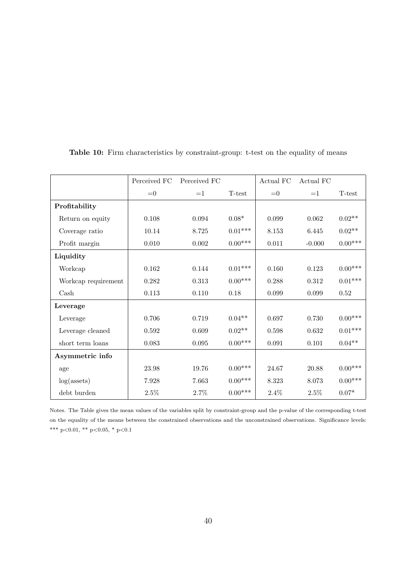|                       | Perceived FC | Perceived FC |           | Actual FC | Actual FC |                       |
|-----------------------|--------------|--------------|-----------|-----------|-----------|-----------------------|
|                       | $=0$         | $=1$         | T-test    | $=0$      | $=1$      | T-test                |
| Profitability         |              |              |           |           |           |                       |
| Return on equity      | 0.108        | 0.094        | $0.08*$   | 0.099     | 0.062     | $0.02**$              |
| Coverage ratio        | 10.14        | 8.725        | $0.01***$ | 8.153     | 6.445     | $0.02**$              |
| Profit margin         | 0.010        | 0.002        | $0.00***$ | 0.011     | $-0.000$  | $0.00^{\ast\ast\ast}$ |
| Liquidity             |              |              |           |           |           |                       |
| Workcap               | 0.162        | 0.144        | $0.01***$ | 0.160     | 0.123     | $0.00***$             |
| Workcap requirement   | 0.282        | 0.313        | $0.00***$ | 0.288     | 0.312     | $0.01***$             |
| $\operatorname{Cash}$ | 0.113        | 0.110        | 0.18      | $0.099\,$ | 0.099     | 0.52                  |
| Leverage              |              |              |           |           |           |                       |
| Leverage              | 0.706        | 0.719        | $0.04**$  | 0.697     | 0.730     | $0.00***$             |
| Leverage cleaned      | 0.592        | 0.609        | $0.02**$  | 0.598     | 0.632     | $0.01^{***}\,$        |
| short term loans      | 0.083        | 0.095        | $0.00***$ | 0.091     | 0.101     | $0.04**$              |
| Asymmetric info       |              |              |           |           |           |                       |
| age                   | 23.98        | 19.76        | $0.00***$ | 24.67     | 20.88     | $0.00***$             |
| $log($ assets $)$     | 7.928        | 7.663        | $0.00***$ | 8.323     | 8.073     | $0.00***$             |
| debt burden           | $2.5\%$      | 2.7%         | $0.00***$ | 2.4%      | 2.5%      | $0.07*$               |

Table 10: Firm characteristics by constraint-group: t-test on the equality of means

Notes. The Table gives the mean values of the variables split by constraint-group and the p-value of the corresponding t-test on the equality of the means between the constrained observations and the unconstrained observations. Significance levels: \*\*\* p<0.01, \*\* p<0.05, \* p<0.1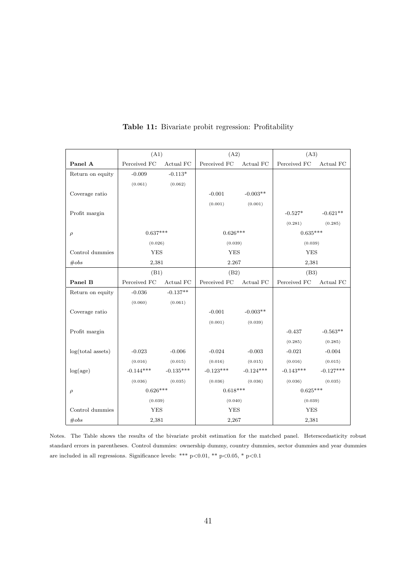|                   | (A1)                          |             | (A2)                          |             | (A3)                          |             |
|-------------------|-------------------------------|-------------|-------------------------------|-------------|-------------------------------|-------------|
| Panel A           | Perceived $\operatorname{FC}$ | Actual FC   | Perceived $\operatorname{FC}$ | Actual FC   | Perceived FC                  | Actual FC   |
| Return on equity  | $-0.009$                      | $-0.113*$   |                               |             |                               |             |
|                   | (0.061)                       | (0.062)     |                               |             |                               |             |
| Coverage ratio    |                               |             | $-0.001$                      | $-0.003**$  |                               |             |
|                   |                               |             | (0.001)                       | (0.001)     |                               |             |
| Profit margin     |                               |             |                               |             | $-0.527*$                     | $-0.621**$  |
|                   |                               |             |                               |             | (0.281)                       | (0.285)     |
| $\rho$            | $0.637***$                    |             | $0.626***$                    |             | $0.635***$                    |             |
|                   | (0.026)                       |             | (0.039)                       |             | (0.039)                       |             |
| Control dummies   | <b>YES</b>                    |             | <b>YES</b>                    |             | <b>YES</b>                    |             |
| #obs              | 2,381                         |             | 2.267                         |             | 2,381                         |             |
|                   | (B1)                          |             | (B2)                          |             | (B3)                          |             |
| Panel B           | Perceived FC                  | Actual FC   | Perceived FC                  | Actual FC   | Perceived $\operatorname{FC}$ | Actual FC   |
| Return on equity  | $-0.036$                      | $-0.137**$  |                               |             |                               |             |
|                   | (0.060)                       | (0.061)     |                               |             |                               |             |
| Coverage ratio    |                               |             | $-0.001$                      | $-0.003**$  |                               |             |
|                   |                               |             | (0.001)                       | (0.039)     |                               |             |
| Profit margin     |                               |             |                               |             | $-0.437$                      | $-0.563**$  |
|                   |                               |             |                               |             | (0.285)                       | (0.285)     |
| log(total assets) | $-0.023$                      | $-0.006$    | $-0.024$                      | $-0.003$    | $-0.021$                      | $-0.004$    |
|                   | (0.016)                       | (0.015)     | (0.016)                       | (0.015)     | (0.016)                       | (0.015)     |
| log(age)          | $-0.144***$                   | $-0.135***$ | $-0.123***$                   | $-0.124***$ | $-0.143***$                   | $-0.127***$ |
|                   | (0.036)                       | (0.035)     | (0.036)                       | (0.036)     | (0.036)                       | (0.035)     |
| $\rho$            | $0.626***$                    |             | $0.618***$                    |             | $0.625***$                    |             |
|                   | (0.039)                       |             | (0.040)                       |             | (0.039)                       |             |
| Control dummies   | <b>YES</b>                    |             | <b>YES</b>                    |             | <b>YES</b>                    |             |
| $\#obs$           | 2,381                         |             | 2,267                         |             | 2,381                         |             |

Table 11: Bivariate probit regression: Profitability

Notes. The Table shows the results of the bivariate probit estimation for the matched panel. Heterscedasticity robust standard errors in parentheses. Control dummies: ownership dummy, country dummies, sector dummies and year dummies are included in all regressions. Significance levels: \*\*\* p<0.01, \*\* p<0.05, \* p<0.1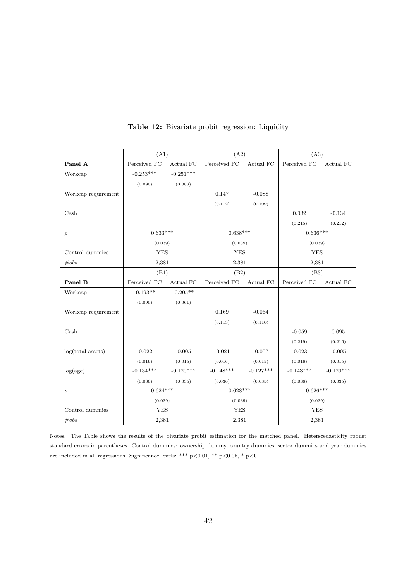|                       | (A1)         |             | (A2)         |             | (A3)         |             |
|-----------------------|--------------|-------------|--------------|-------------|--------------|-------------|
| Panel A               | Perceived FC | Actual FC   | Perceived FC | Actual FC   | Perceived FC | Actual FC   |
| Workcap               | $-0.253***$  | $-0.251***$ |              |             |              |             |
|                       | (0.090)      | (0.088)     |              |             |              |             |
| Workcap requirement   |              |             | 0.147        | $-0.088$    |              |             |
|                       |              |             | (0.112)      | (0.109)     |              |             |
| $\operatorname{Cash}$ |              |             |              |             | 0.032        | $-0.134$    |
|                       |              |             |              |             | (0.215)      | (0.212)     |
| $\rho$                | $0.633***$   |             | $0.638***$   |             | $0.636***$   |             |
|                       | (0.039)      |             | (0.039)      |             | (0.039)      |             |
| Control dummies       | <b>YES</b>   |             | <b>YES</b>   |             | <b>YES</b>   |             |
| $\#obs$               | 2,381        |             |              | 2.381       |              | 2,381       |
|                       | (B1)         |             | (B2)         |             | (B3)         |             |
| Panel B               | Perceived FC | Actual FC   | Perceived FC | Actual FC   | Perceived FC | Actual FC   |
| Workcap               | $-0.193**$   | $-0.205**$  |              |             |              |             |
|                       | (0.090)      | (0.061)     |              |             |              |             |
| Workcap requirement   |              |             | 0.169        | $-0.064$    |              |             |
|                       |              |             | (0.113)      | (0.110)     |              |             |
| Cash                  |              |             |              |             | $-0.059$     | 0.095       |
|                       |              |             |              |             | (0.219)      | (0.216)     |
| $log(total$ assets)   | $-0.022$     | $-0.005$    | $-0.021$     | $-0.007$    | $-0.023$     | $-0.005$    |
|                       | (0.016)      | (0.015)     | (0.016)      | (0.015)     | (0.016)      | (0.015)     |
| log(age)              | $-0.134***$  | $-0.120***$ | $-0.148***$  | $-0.127***$ | $-0.143***$  | $-0.129***$ |
|                       | (0.036)      | (0.035)     | (0.036)      | (0.035)     | (0.036)      | (0.035)     |
| $\rho$                | $0.624***$   |             | $0.628***$   |             | $0.626***$   |             |
|                       | (0.039)      |             | (0.039)      |             | (0.039)      |             |
| Control dummies       | <b>YES</b>   |             | <b>YES</b>   |             | <b>YES</b>   |             |
| #obs                  | 2,381        |             | 2,381        |             | 2,381        |             |

Table 12: Bivariate probit regression: Liquidity

Notes. The Table shows the results of the bivariate probit estimation for the matched panel. Heterscedasticity robust standard errors in parentheses. Control dummies: ownership dummy, country dummies, sector dummies and year dummies are included in all regressions. Significance levels: \*\*\* p<0.01, \*\* p<0.05, \* p<0.1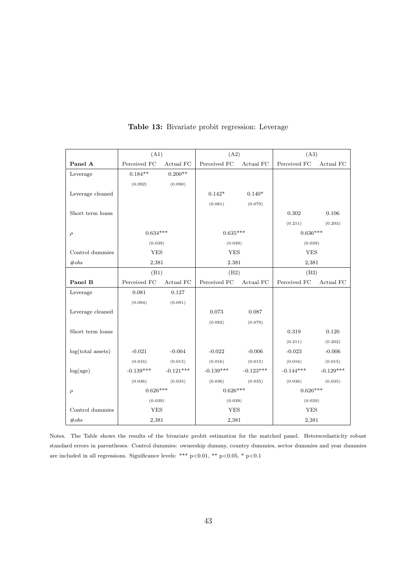|                   | (A1)         |             | (A2)         |             | (A3)         |             |
|-------------------|--------------|-------------|--------------|-------------|--------------|-------------|
| Panel A           | Perceived FC | Actual FC   | Perceived FC | Actual FC   | Perceived FC | Actual FC   |
| Leverage          | $0.184**$    | $0.200**$   |              |             |              |             |
|                   | (0.092)      | (0.090)     |              |             |              |             |
| Leverage cleaned  |              |             | $0.142*$     | $0.140*$    |              |             |
|                   |              |             | (0.081)      | (0.079)     |              |             |
| Short term loans  |              |             |              |             | 0.302        | 0.106       |
|                   |              |             |              |             | (0.211)      | (0.203)     |
| $\rho$            | $0.634***$   |             | $0.635***$   |             | $0.636***$   |             |
|                   | (0.039)      |             | (0.039)      |             | (0.039)      |             |
| Control dummies   | <b>YES</b>   |             | <b>YES</b>   |             | <b>YES</b>   |             |
| #obs              | 2,381        |             | 2.381        |             | 2,381        |             |
|                   | (B1)         |             | (B2)         |             | (B3)         |             |
| Panel B           | Perceived FC | Actual FC   | Perceived FC | Actual FC   | Perceived FC | Actual FC   |
| Leverage          | 0.081        | 0.127       |              |             |              |             |
|                   | (0.094)      | (0.091)     |              |             |              |             |
| Leverage cleaned  |              |             | 0.073        | 0.087       |              |             |
|                   |              |             | (0.082)      | (0.079)     |              |             |
| Short term loans  |              |             |              |             | 0.319        | 0.120       |
|                   |              |             |              |             | (0.211)      | (0.202)     |
| log(total assets) | $-0.021$     | $-0.004$    | $-0.022$     | $-0.006$    | $-0.023$     | $-0.006$    |
|                   | (0.016)      | (0.015)     | (0.016)      | (0.015)     | (0.016)      | (0.015)     |
| log(age)          | $-0.139***$  | $-0.121***$ | $-0.139***$  | $-0.123***$ | $-0.144***$  | $-0.129***$ |
|                   | (0.036)      | (0.035)     | (0.036)      | (0.035)     | (0.036)      | (0.035)     |
| $\rho$            | $0.626***$   |             | $0.626***$   |             | $0.626***$   |             |
|                   | (0.039)      |             | (0.039)      |             | (0.039)      |             |
| Control dummies   | <b>YES</b>   |             | <b>YES</b>   |             | <b>YES</b>   |             |
| $\#obs$           | 2,381        |             | 2,381        |             | 2,381        |             |

Table 13: Bivariate probit regression: Leverage

Notes. The Table shows the results of the bivariate probit estimation for the matched panel. Heterscedasticity robust standard errors in parentheses. Control dummies: ownership dummy, country dummies, sector dummies and year dummies are included in all regressions. Significance levels: \*\*\* p<0.01, \*\* p<0.05, \* p<0.1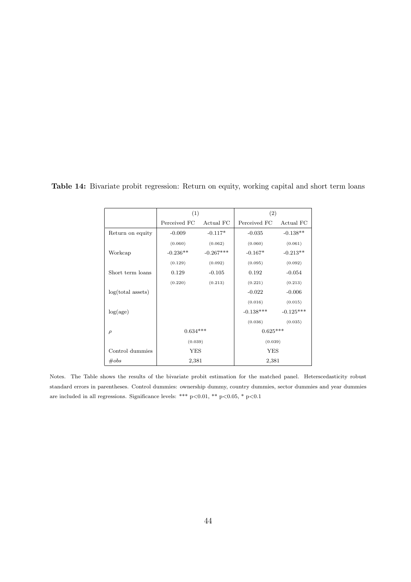|                   | (1)          |             | (2)          |             |  |
|-------------------|--------------|-------------|--------------|-------------|--|
|                   | Perceived FC | Actual FC   | Perceived FC | Actual FC   |  |
| Return on equity  | $-0.009$     | $-0.117*$   | $-0.035$     | $-0.138**$  |  |
|                   | (0.060)      | (0.062)     | (0.060)      | (0.061)     |  |
| Workcap           | $-0.236**$   | $-0.267***$ | $-0.167*$    | $-0.213**$  |  |
|                   | (0.129)      | (0.092)     | (0.095)      | (0.092)     |  |
| Short term loans  | 0.129        | $-0.105$    | 0.192        | $-0.054$    |  |
|                   | (0.220)      | (0.213)     | (0.221)      | (0.213)     |  |
| log(total assets) |              |             | $-0.022$     | $-0.006$    |  |
|                   |              |             | (0.016)      | (0.015)     |  |
| log(age)          |              |             | $-0.138***$  | $-0.125***$ |  |
|                   |              |             | (0.036)      | (0.035)     |  |
| $\rho$            | $0.634***$   |             | $0.625***$   |             |  |
|                   | (0.039)      |             | (0.039)      |             |  |
| Control dummies   | <b>YES</b>   |             | <b>YES</b>   |             |  |
| $\#obs$           | 2,381        |             | 2,381        |             |  |

Table 14: Bivariate probit regression: Return on equity, working capital and short term loans

Notes. The Table shows the results of the bivariate probit estimation for the matched panel. Heterscedasticity robust standard errors in parentheses. Control dummies: ownership dummy, country dummies, sector dummies and year dummies are included in all regressions. Significance levels: \*\*\* p<0.01, \*\* p<0.05, \* p<0.1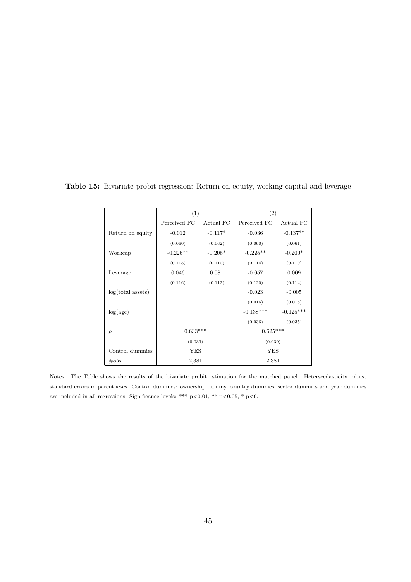|                   | (1)          |           | (2)          |             |  |
|-------------------|--------------|-----------|--------------|-------------|--|
|                   | Perceived FC | Actual FC | Perceived FC | Actual FC   |  |
| Return on equity  | $-0.012$     | $-0.117*$ | $-0.036$     | $-0.137**$  |  |
|                   | (0.060)      | (0.062)   | (0.060)      | (0.061)     |  |
| Workcap           | $-0.226**$   | $-0.205*$ | $-0.225**$   | $-0.200*$   |  |
|                   | (0.113)      | (0.110)   | (0.114)      | (0.110)     |  |
| Leverage          | 0.046        | 0.081     | $-0.057$     | 0.009       |  |
|                   | (0.116)      | (0.112)   | (0.120)      | (0.114)     |  |
| log(total assets) |              |           | $-0.023$     | $-0.005$    |  |
|                   |              |           | (0.016)      | (0.015)     |  |
| log(age)          |              |           | $-0.138***$  | $-0.125***$ |  |
|                   |              |           | (0.036)      | (0.035)     |  |
| $\rho$            | $0.633***$   |           | $0.625***$   |             |  |
|                   | (0.039)      |           | (0.039)      |             |  |
| Control dummies   | YES          |           | YES          |             |  |
| $\#obs$           | 2,381        |           | 2,381        |             |  |

Table 15: Bivariate probit regression: Return on equity, working capital and leverage

Notes. The Table shows the results of the bivariate probit estimation for the matched panel. Heterscedasticity robust standard errors in parentheses. Control dummies: ownership dummy, country dummies, sector dummies and year dummies are included in all regressions. Significance levels: \*\*\* p<0.01, \*\* p<0.05, \* p<0.1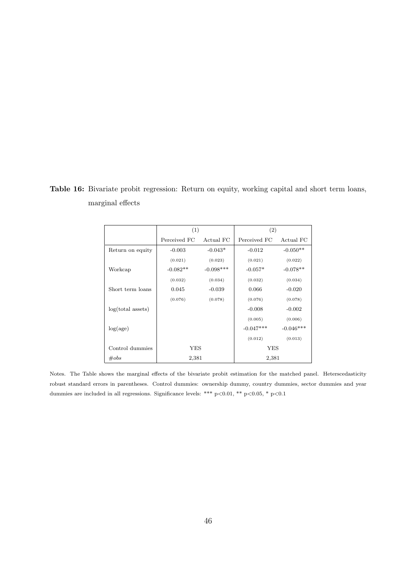Table 16: Bivariate probit regression: Return on equity, working capital and short term loans, marginal effects

|                     | (1)          |                | (2)          |             |
|---------------------|--------------|----------------|--------------|-------------|
|                     | Perceived FC | Actual FC      | Perceived FC | Actual FC   |
| Return on equity    | $-0.003$     | $-0.043*$      | $-0.012$     | $-0.050**$  |
|                     | (0.021)      | (0.023)        | (0.021)      | (0.022)     |
| Workcap             | $-0.082**$   | $-0.098***$    | $-0.057*$    | $-0.078**$  |
|                     | (0.032)      | (0.034)        | (0.032)      | (0.034)     |
| Short term loans    | 0.045        | $-0.039$       | 0.066        | $-0.020$    |
|                     | (0.076)      | (0.078)        | (0.076)      | (0.078)     |
| $log(total$ assets) |              |                | $-0.008$     | $-0.002$    |
|                     |              |                | (0.005)      | (0.006)     |
| log(age)            |              |                | $-0.047***$  | $-0.046***$ |
|                     |              |                | (0.012)      | (0.013)     |
| Control dummies     | YES          |                | YES          |             |
| $\#obs$             |              | 2,381<br>2,381 |              |             |

Notes. The Table shows the marginal effects of the bivariate probit estimation for the matched panel. Heterscedasticity robust standard errors in parentheses. Control dummies: ownership dummy, country dummies, sector dummies and year dummies are included in all regressions. Significance levels: \*\*\* p<0.01, \*\* p<0.05, \* p<0.1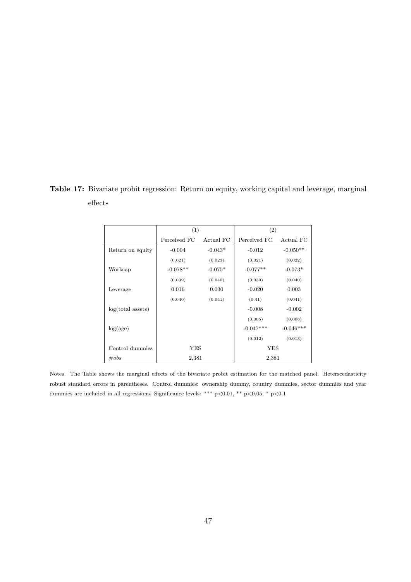Table 17: Bivariate probit regression: Return on equity, working capital and leverage, marginal effects

|                     | (1)          |           | (2)          |             |  |
|---------------------|--------------|-----------|--------------|-------------|--|
|                     | Perceived FC | Actual FC | Perceived FC | Actual FC   |  |
| Return on equity    | $-0.004$     | $-0.043*$ | $-0.012$     | $-0.050**$  |  |
|                     | (0.021)      | (0.023)   | (0.021)      | (0.022)     |  |
| Workcap             | $-0.078**$   | $-0.075*$ | $-0.077**$   | $-0.073*$   |  |
|                     | (0.039)      | (0.040)   | (0.039)      | (0.040)     |  |
| Leverage            | 0.016        | 0.030     | $-0.020$     | 0.003       |  |
|                     | (0.040)      | (0.041)   | (0.41)       | (0.041)     |  |
| $log(total$ assets) |              |           | $-0.008$     | $-0.002$    |  |
|                     |              |           | (0.005)      | (0.006)     |  |
| log(age)            |              |           | $-0.047***$  | $-0.046***$ |  |
|                     |              |           | (0.012)      | (0.013)     |  |
| Control dummies     | YES          |           | YES          |             |  |
| $\#obs$             | 2,381        |           | 2,381        |             |  |

Notes. The Table shows the marginal effects of the bivariate probit estimation for the matched panel. Heterscedasticity robust standard errors in parentheses. Control dummies: ownership dummy, country dummies, sector dummies and year dummies are included in all regressions. Significance levels: \*\*\* p<0.01, \*\* p<0.05, \* p<0.1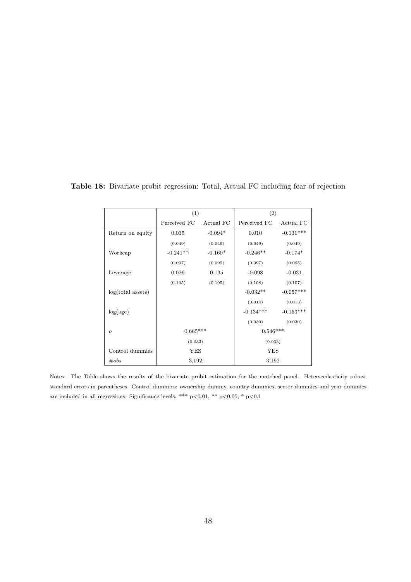|                     | (1)          |           | (2)          |             |  |
|---------------------|--------------|-----------|--------------|-------------|--|
|                     | Perceived FC | Actual FC | Perceived FC | Actual FC   |  |
| Return on equity    | 0.035        | $-0.094*$ | 0.010        | $-0.131***$ |  |
|                     | (0.049)      | (0.049)   | (0.049)      | (0.049)     |  |
| Workcap             | $-0.241**$   | $-0.160*$ | $-0.246**$   | $-0.174*$   |  |
|                     | (0.097)      | (0.095)   | (0.097)      | (0.095)     |  |
| Leverage            | 0.026        | 0.135     | $-0.098$     | $-0.031$    |  |
|                     | (0.105)      | (0.105)   | (0.108)      | (0.107)     |  |
| $log(total$ assets) |              |           | $-0.032**$   | $-0.057***$ |  |
|                     |              |           | (0.014)      | (0.013)     |  |
| log(age)            |              |           | $-0.134***$  | $-0.153***$ |  |
|                     |              |           | (0.030)      | (0.030)     |  |
| $\rho$              | $0.665***$   |           | $0.546***$   |             |  |
|                     | (0.033)      |           | (0.033)      |             |  |
| Control dummies     | YES          |           | YES          |             |  |
| $\#obs$             | 3,192        |           | 3,192        |             |  |

Table 18: Bivariate probit regression: Total, Actual FC including fear of rejection

Notes. The Table shows the results of the bivariate probit estimation for the matched panel. Heterscedasticity robust standard errors in parentheses. Control dummies: ownership dummy, country dummies, sector dummies and year dummies are included in all regressions. Significance levels: \*\*\* p<0.01, \*\* p<0.05, \* p<0.1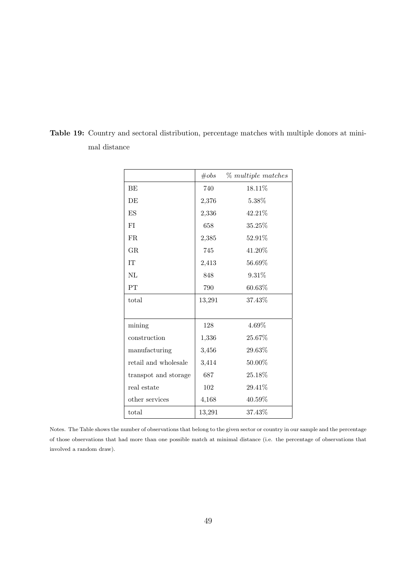|                      | $\#obs$ | % multiple matches |
|----------------------|---------|--------------------|
| BE                   | 740     | 18.11\%            |
| DE                   | 2,376   | 5.38%              |
| ES                   | 2,336   | 42.21%             |
| FI                   | 658     | 35.25%             |
| FR.                  | 2,385   | 52.91%             |
| GR.                  | 745     | 41.20%             |
| <b>IT</b>            | 2,413   | 56.69%             |
| NI                   | 848     | $9.31\%$           |
| PT                   | 790     | 60.63%             |
| total                | 13,291  | 37.43\%            |
|                      |         |                    |
| mining               | 128     | 4.69%              |
| construction         | 1,336   | 25.67%             |
| manufacturing        | 3,456   | 29.63%             |
| retail and wholesale | 3,414   | 50.00%             |
| transpot and storage | 687     | 25.18%             |
| real estate          | 102     | $29.41\%$          |
| other services       | 4,168   | $40.59\%$          |
| total                | 13,291  | 37.43%             |

Table 19: Country and sectoral distribution, percentage matches with multiple donors at minimal distance

Notes. The Table shows the number of observations that belong to the given sector or country in our sample and the percentage of those observations that had more than one possible match at minimal distance (i.e. the percentage of observations that involved a random draw).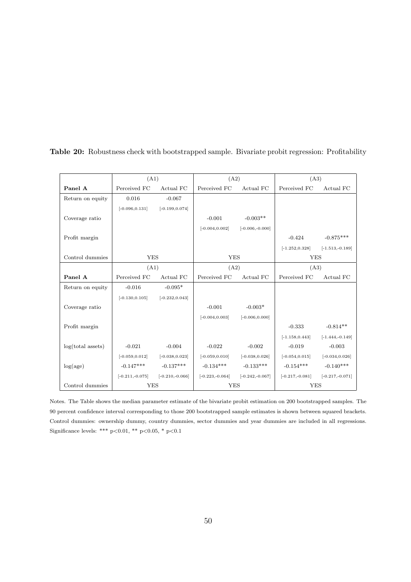|                   | (A1)                                |                   | (A2)              |                                     | (A3)              |                    |
|-------------------|-------------------------------------|-------------------|-------------------|-------------------------------------|-------------------|--------------------|
| Panel A           | Perceived FC                        | Actual FC         | Perceived FC      | Actual FC                           | Perceived FC      | Actual FC          |
| Return on equity  | 0.016                               | $-0.067$          |                   |                                     |                   |                    |
|                   | $[-0.096, 0.131]$                   | $[-0.199, 0.074]$ |                   |                                     |                   |                    |
| Coverage ratio    |                                     |                   | $-0.001$          | $-0.003**$                          |                   |                    |
|                   |                                     |                   | $[-0.004, 0.002]$ | $[-0.006,-0.000]$                   |                   |                    |
| Profit margin     |                                     |                   |                   |                                     | $-0.424$          | $-0.875***$        |
|                   |                                     |                   |                   |                                     | $[-1.252, 0.328]$ | $[-1.513,-0.189]$  |
| Control dummies   | <b>YES</b>                          |                   | <b>YES</b>        |                                     | <b>YES</b>        |                    |
|                   | (A1)                                |                   | (A2)              |                                     | (A3)              |                    |
| Panel A           | Perceived FC                        | Actual FC         | Perceived FC      | Actual FC                           | Perceived FC      | Actual FC          |
| Return on equity  | $-0.016$                            | $-0.095*$         |                   |                                     |                   |                    |
|                   | $[-0.130, 0.105]$                   | $[-0.232, 0.043]$ |                   |                                     |                   |                    |
| Coverage ratio    |                                     |                   | $-0.001$          | $-0.003*$                           |                   |                    |
|                   |                                     |                   | $[-0.004, 0.003]$ | $[-0.006, 0.000]$                   |                   |                    |
| Profit margin     |                                     |                   |                   |                                     | $-0.333$          | $-0.814**$         |
|                   |                                     |                   |                   |                                     | $[-1.158, 0.443]$ | $[-1.444, -0.149]$ |
| log(total assets) | $-0.021$                            | $-0.004$          | $-0.022$          | $-0.002$                            | $-0.019$          | $-0.003$           |
|                   | $[-0.059, 0.012]$ $[-0.038, 0.023]$ |                   | $[-0.059, 0.010]$ | $[-0.038, 0.026]$                   | $[-0.054, 0.015]$ | $[-0.034, 0.026]$  |
| log(age)          | $-0.147***$ $-0.137***$             |                   | $-0.134***$       | $-0.133***$                         | $-0.154***$       | $-0.140***$        |
|                   | $[-0.211,-0.075]$                   | $[-0.210,-0.066]$ |                   | $[-0.223,-0.064]$ $[-0.242,-0.067]$ | $[-0.217,-0.081]$ | $[-0.217,-0.071]$  |
| Control dummies   | <b>YES</b>                          |                   | <b>YES</b>        |                                     | <b>YES</b>        |                    |

Table 20: Robustness check with bootstrapped sample. Bivariate probit regression: Profitability

Notes. The Table shows the median parameter estimate of the bivariate probit estimation on 200 bootstrapped samples. The 90 percent confidence interval corresponding to those 200 bootstrapped sample estimates is shown between squared brackets. Control dummies: ownership dummy, country dummies, sector dummies and year dummies are included in all regressions. Significance levels: \*\*\* p<0.01, \*\* p<0.05, \* p<0.1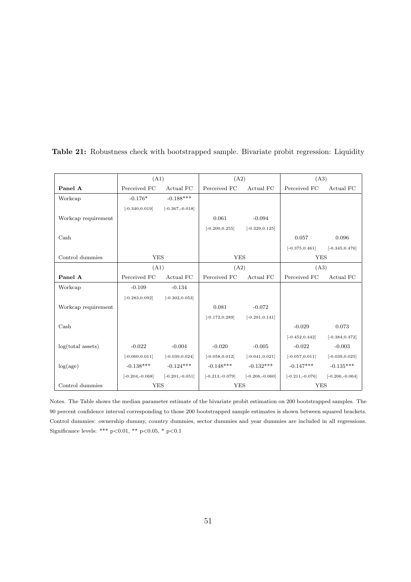|                       | (A1)                    |                    |                         | (A2)               |                    | (A3)               |  |
|-----------------------|-------------------------|--------------------|-------------------------|--------------------|--------------------|--------------------|--|
| Panel A               | Perceived FC            | Actual FC          | Perceived FC            | Actual FC          | Perceived FC       | Actual FC          |  |
| Workcap               | $-0.176*$               | $-0.188***$        |                         |                    |                    |                    |  |
|                       | $[-0.340, 0.019]$       | $[-0.367,-0.018]$  |                         |                    |                    |                    |  |
| Workcap requirement   |                         |                    | 0.061                   | $-0.094$           |                    |                    |  |
|                       |                         |                    | $[-0.200, 0.255]$       | $[-0.329, 0.125]$  |                    |                    |  |
| $\operatorname{Cash}$ |                         |                    |                         |                    | 0.057              | 0.096              |  |
|                       |                         |                    |                         |                    | $[-0.375, 0.461]$  | $[-0.345, 0.476]$  |  |
| Control dummies       | <b>YES</b>              |                    | <b>YES</b>              |                    | <b>YES</b>         |                    |  |
|                       | (A1)                    |                    | (A2)                    |                    | (A3)               |                    |  |
| Panel A               | Perceived FC            | Actual FC          | Perceived FC            | Actual FC          | Perceived FC       | Actual FC          |  |
| Workcap               | $-0.109$                | $-0.134$           |                         |                    |                    |                    |  |
|                       | $[-0.283, 0.092]$       | $[-0.302, 0.053]$  |                         |                    |                    |                    |  |
| Workcap requirement   |                         |                    | 0.081                   | $-0.072$           |                    |                    |  |
|                       |                         |                    | $[-0.172, 0.289]$       | $[-0.291, 0.141]$  |                    |                    |  |
| $\operatorname{Cash}$ |                         |                    |                         |                    | $-0.029$           | 0.073              |  |
|                       |                         |                    |                         |                    | $[-0.452, 0.442]$  | $[-0.384, 0.472]$  |  |
| log(total assets)     | $-0.022$                | $-0.004$           | $-0.020$                | $-0.005$           | $-0.022$           | $-0.003$           |  |
|                       | $[-0.060, 0.011]$       | $[-0.039, 0.024]$  | $[-0.058, 0.012]$       | $[-0.041, 0.021]$  | $[-0.057, 0.011]$  | $[-0.039, 0.025]$  |  |
| log(age)              | $-0.138***$ $-0.124***$ |                    | $-0.148***$ $-0.132***$ |                    | $-0.147***$        | $-0.135***$        |  |
|                       | $[-0.204, -0.068]$      | $[-0.201, -0.051]$ | $[-0.213,-0.079]$       | $[-0.208, -0.060]$ | $[-0.211, -0.076]$ | $[-0.206, -0.064]$ |  |
| Control dummies       | <b>YES</b>              |                    | <b>YES</b>              |                    | <b>YES</b>         |                    |  |

Table 21: Robustness check with bootstrapped sample. Bivariate probit regression: Liquidity

Notes. The Table shows the median parameter estimate of the bivariate probit estimation on 200 bootstrapped samples. The 90 percent confidence interval corresponding to those 200 bootstrapped sample estimates is shown between squared brackets. Control dummies: ownership dummy, country dummies, sector dummies and year dummies are included in all regressions. Significance levels: \*\*\* p<0.01, \*\* p<0.05, \* p<0.1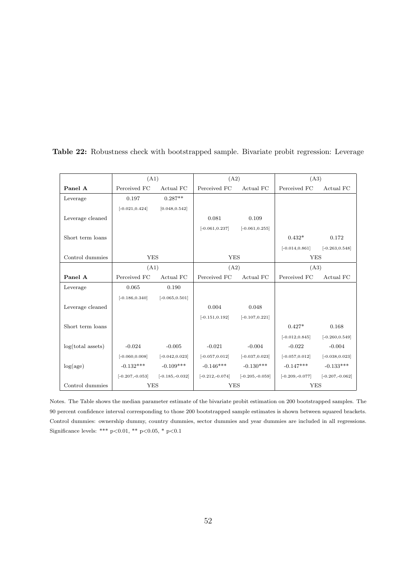|                   | (A1)                                  |                                        | (A2)              |                   | (A3)              |                   |
|-------------------|---------------------------------------|----------------------------------------|-------------------|-------------------|-------------------|-------------------|
| Panel A           | Perceived FC                          | Actual FC                              | Perceived FC      | Actual FC         | Perceived FC      | Actual FC         |
| Leverage          | 0.197                                 | $0.287**$                              |                   |                   |                   |                   |
|                   | $[-0.021, 0.424]$                     | [0.048, 0.542]                         |                   |                   |                   |                   |
| Leverage cleaned  |                                       |                                        | 0.081             | 0.109             |                   |                   |
|                   |                                       |                                        | $[-0.061, 0.237]$ | $[-0.061, 0.255]$ |                   |                   |
| Short term loans  |                                       |                                        |                   |                   | $0.432*$          | 0.172             |
|                   |                                       |                                        |                   |                   | $[-0.014, 0.861]$ | $[-0.263, 0.548]$ |
| Control dummies   |                                       | <b>YES</b><br><b>YES</b>               |                   |                   | <b>YES</b>        |                   |
|                   | (A1)                                  |                                        | (A2)              |                   | (A3)              |                   |
| Panel A           | Perceived FC                          | Actual FC                              | Perceived FC      | Actual FC         | Perceived FC      | Actual FC         |
| Leverage          | 0.065                                 | 0.190                                  |                   |                   |                   |                   |
|                   | $[-0.186, 0.340]$                     | $[-0.065, 0.501]$                      |                   |                   |                   |                   |
| Leverage cleaned  |                                       |                                        | 0.004             | 0.048             |                   |                   |
|                   |                                       |                                        | $[-0.151, 0.192]$ | $[-0.107, 0.221]$ |                   |                   |
| Short term loans  |                                       |                                        |                   |                   | $0.427*$          | 0.168             |
|                   |                                       |                                        |                   |                   | $[-0.012, 0.845]$ | $[-0.260, 0.549]$ |
| log(total assets) | $-0.024$                              | $-0.005$                               | $-0.021$          | $-0.004$          | $-0.022$          | $-0.004$          |
|                   | $[-0.060, 0.008]$                     | $[-0.042, 0.023]$                      | $[-0.057, 0.012]$ | $[-0.037, 0.023]$ | $[-0.057, 0.012]$ | $[-0.038, 0.023]$ |
| log(age)          | $-0.132***$                           | $-0.109***$                            | $-0.146***$       | $-0.130***$       | $-0.147***$       | $-0.133***$       |
|                   | $[-0.207, -0.053]$ $[-0.185, -0.032]$ |                                        | $[-0.212,-0.074]$ | $[-0.205,-0.059]$ | $[-0.209,-0.077]$ | $[-0.207,-0.062]$ |
| Control dummies   |                                       | <b>YES</b><br><b>YES</b><br><b>YES</b> |                   |                   |                   |                   |

Table 22: Robustness check with bootstrapped sample. Bivariate probit regression: Leverage

Notes. The Table shows the median parameter estimate of the bivariate probit estimation on 200 bootstrapped samples. The 90 percent confidence interval corresponding to those 200 bootstrapped sample estimates is shown between squared brackets. Control dummies: ownership dummy, country dummies, sector dummies and year dummies are included in all regressions. Significance levels: \*\*\* p<0.01, \*\* p<0.05, \* p<0.1